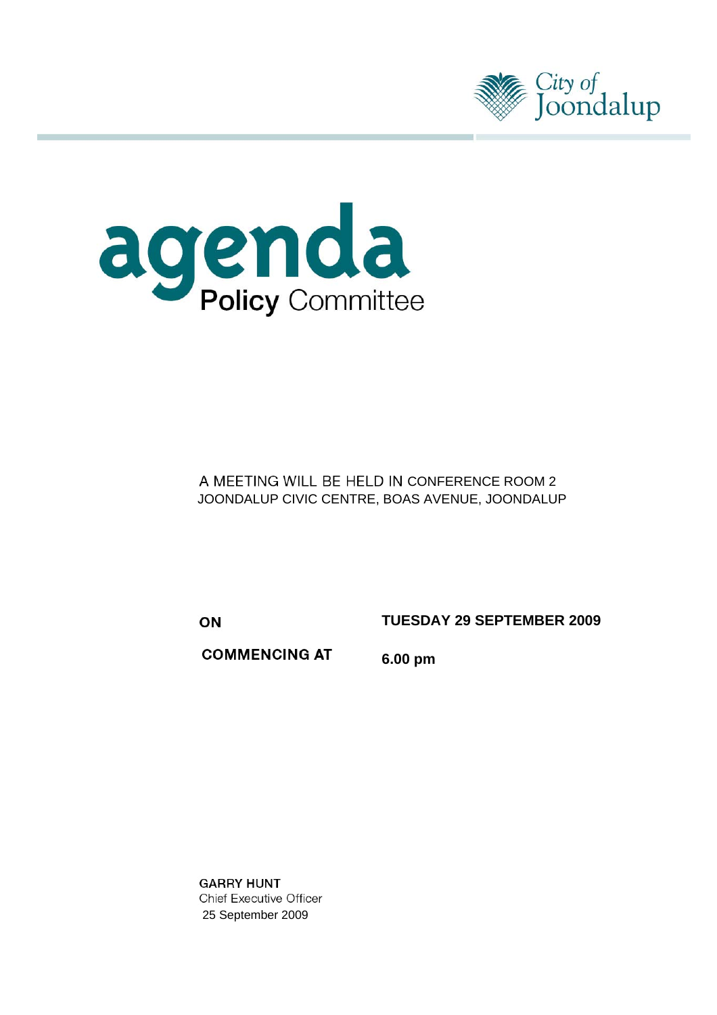



A MEETING WILL BE HELD IN CONFERENCE ROOM 2 JOONDALUP CIVIC CENTRE, BOAS AVENUE, JOONDALUP

ON

**TUESDAY 29 SEPTEMBER 2009** 

**COMMENCING AT** 6.00 pm

**GARRY HUNT Chief Executive Officer** 25 September 2009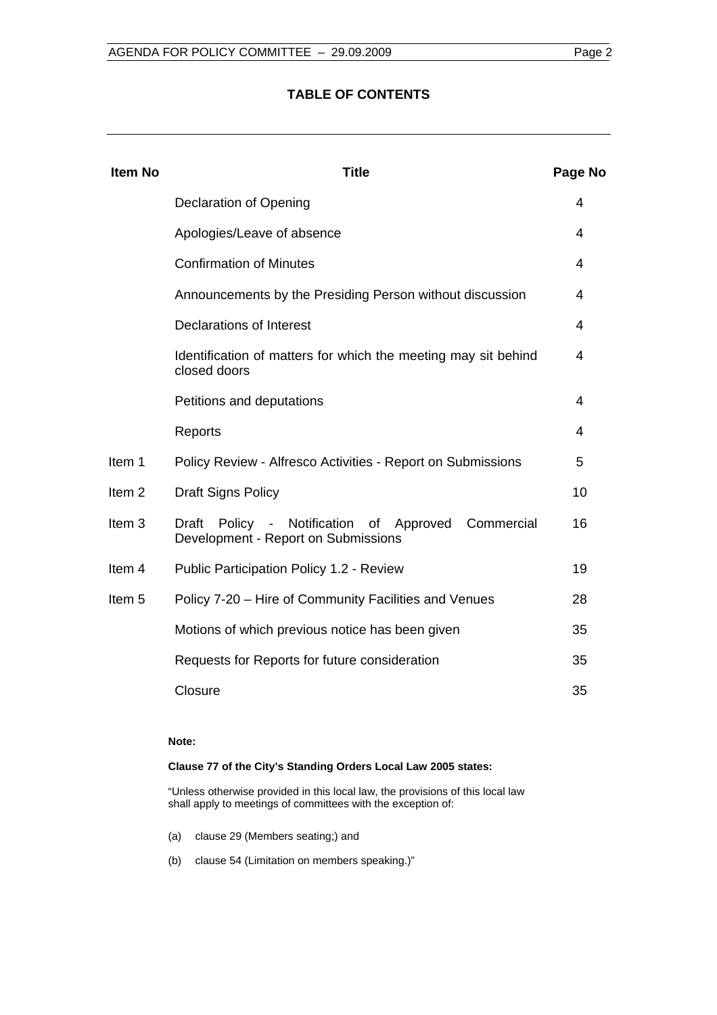# **TABLE OF CONTENTS**

| <b>Item No</b>    | <b>Title</b>                                                                                 | Page No        |
|-------------------|----------------------------------------------------------------------------------------------|----------------|
|                   | <b>Declaration of Opening</b>                                                                | $\overline{4}$ |
|                   | Apologies/Leave of absence                                                                   | 4              |
|                   | <b>Confirmation of Minutes</b>                                                               | 4              |
|                   | Announcements by the Presiding Person without discussion                                     | 4              |
|                   | Declarations of Interest                                                                     | 4              |
|                   | Identification of matters for which the meeting may sit behind<br>closed doors               | 4              |
|                   | Petitions and deputations                                                                    | 4              |
|                   | Reports                                                                                      | 4              |
| Item 1            | Policy Review - Alfresco Activities - Report on Submissions                                  | 5              |
| Item <sub>2</sub> | <b>Draft Signs Policy</b>                                                                    | 10             |
| Item <sub>3</sub> | Policy - Notification of Approved Commercial<br>Draft<br>Development - Report on Submissions | 16             |
| Item $4$          | Public Participation Policy 1.2 - Review                                                     | 19             |
| Item <sub>5</sub> | Policy 7-20 - Hire of Community Facilities and Venues                                        | 28             |
|                   | Motions of which previous notice has been given                                              | 35             |
|                   | Requests for Reports for future consideration                                                | 35             |
|                   | Closure                                                                                      | 35             |

#### **Note:**

#### **Clause 77 of the City's Standing Orders Local Law 2005 states:**

"Unless otherwise provided in this local law, the provisions of this local law shall apply to meetings of committees with the exception of:

- (a) clause 29 (Members seating;) and
- (b) clause 54 (Limitation on members speaking.)"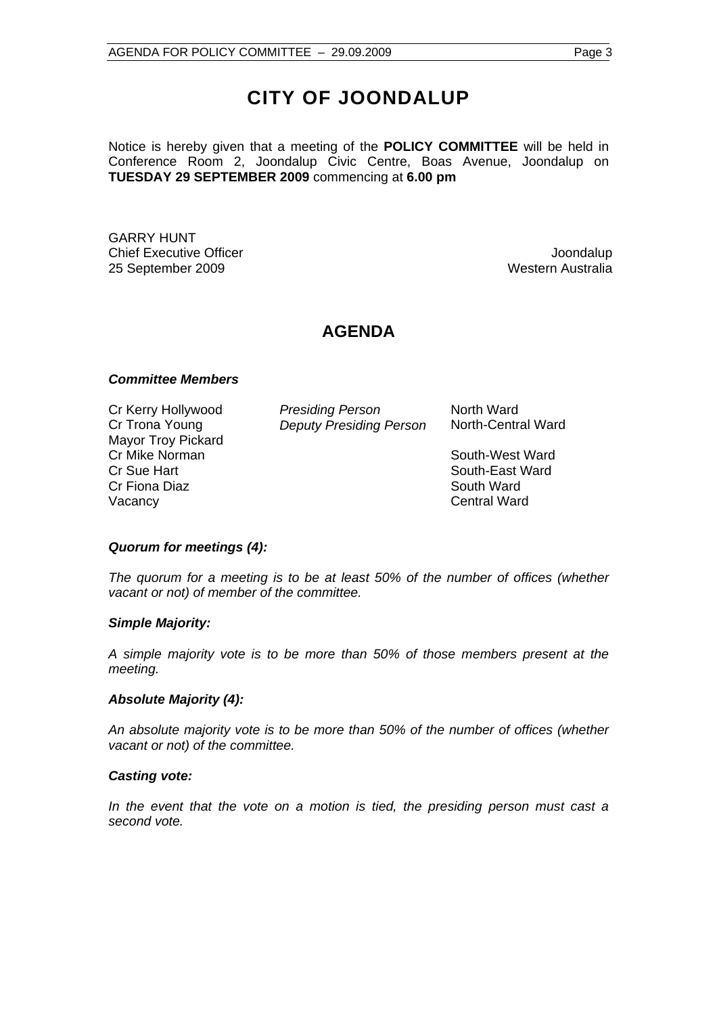# **CITY OF JOONDALUP**

Notice is hereby given that a meeting of the **POLICY COMMITTEE** will be held in Conference Room 2, Joondalup Civic Centre, Boas Avenue, Joondalup on **TUESDAY 29 SEPTEMBER 2009** commencing at **6.00 pm** 

GARRY HUNT Chief Executive Officer  $\Box$  Joondalup Joondalup 25 September 2009 Western Australia

# **AGENDA**

#### *Committee Members*

Mayor Troy Pickard Cr Mike Norman South-West Ward Cr Sue Hart South-East Ward Cr Fiona Diaz **South Ward** South Ward Vacancy **Central Ward** 

Cr Kerry Hollywood *Presiding Person* North Ward Cr Trona Young *Deputy Presiding Person* North-Central Ward

#### *Quorum for meetings (4):*

*The quorum for a meeting is to be at least 50% of the number of offices (whether vacant or not) of member of the committee.* 

#### *Simple Majority:*

*A simple majority vote is to be more than 50% of those members present at the meeting.* 

#### *Absolute Majority (4):*

*An absolute majority vote is to be more than 50% of the number of offices (whether vacant or not) of the committee.* 

#### *Casting vote:*

*In the event that the vote on a motion is tied, the presiding person must cast a second vote.*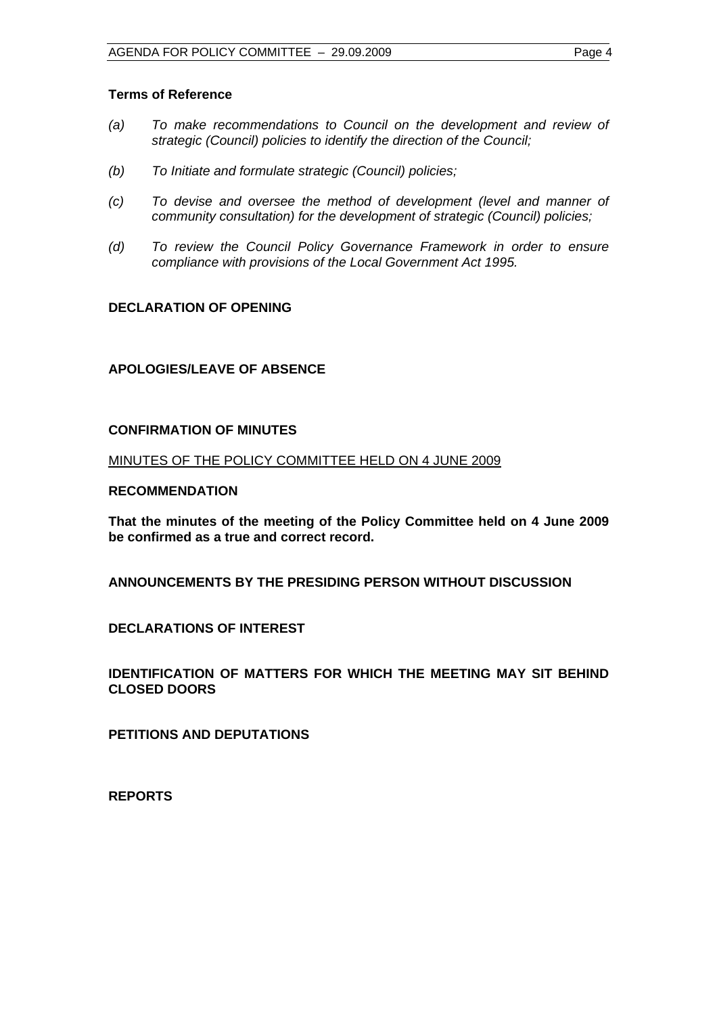# <span id="page-3-0"></span>**Terms of Reference**

- *(a) To make recommendations to Council on the development and review of strategic (Council) policies to identify the direction of the Council;*
- *(b) To Initiate and formulate strategic (Council) policies;*
- *(c) To devise and oversee the method of development (level and manner of community consultation) for the development of strategic (Council) policies;*
- *(d) To review the Council Policy Governance Framework in order to ensure compliance with provisions of the Local Government Act 1995.*

# **DECLARATION OF OPENING**

# **APOLOGIES/LEAVE OF ABSENCE**

#### **CONFIRMATION OF MINUTES**

MINUTES OF THE POLICY COMMITTEE HELD ON 4 JUNE 2009

#### **RECOMMENDATION**

**That the minutes of the meeting of the Policy Committee held on 4 June 2009 be confirmed as a true and correct record.** 

**ANNOUNCEMENTS BY THE PRESIDING PERSON WITHOUT DISCUSSION** 

**DECLARATIONS OF INTEREST** 

**IDENTIFICATION OF MATTERS FOR WHICH THE MEETING MAY SIT BEHIND CLOSED DOORS** 

**PETITIONS AND DEPUTATIONS** 

**REPORTS**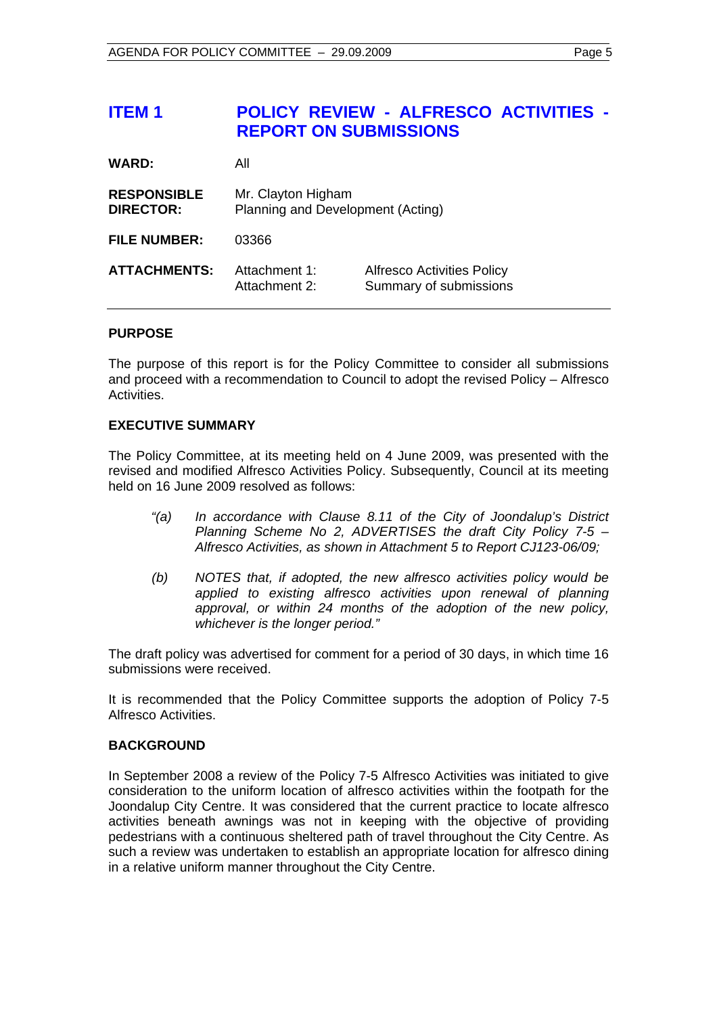# <span id="page-4-0"></span>**ITEM 1 POLICY REVIEW - ALFRESCO ACTIVITIES - REPORT ON SUBMISSIONS**

| <b>WARD:</b>                           | All                                                     |                                                             |
|----------------------------------------|---------------------------------------------------------|-------------------------------------------------------------|
| <b>RESPONSIBLE</b><br><b>DIRECTOR:</b> | Mr. Clayton Higham<br>Planning and Development (Acting) |                                                             |
| <b>FILE NUMBER:</b>                    | 03366                                                   |                                                             |
| <b>ATTACHMENTS:</b>                    | Attachment 1:<br>Attachment 2:                          | <b>Alfresco Activities Policy</b><br>Summary of submissions |

# **PURPOSE**

The purpose of this report is for the Policy Committee to consider all submissions and proceed with a recommendation to Council to adopt the revised Policy – Alfresco Activities.

# **EXECUTIVE SUMMARY**

The Policy Committee, at its meeting held on 4 June 2009, was presented with the revised and modified Alfresco Activities Policy. Subsequently, Council at its meeting held on 16 June 2009 resolved as follows:

- *"(a) In accordance with Clause 8.11 of the City of Joondalup's District Planning Scheme No 2, ADVERTISES the draft City Policy 7-5 – Alfresco Activities, as shown in Attachment 5 to Report CJ123-06/09;*
- *(b) NOTES that, if adopted, the new alfresco activities policy would be applied to existing alfresco activities upon renewal of planning approval, or within 24 months of the adoption of the new policy, whichever is the longer period."*

The draft policy was advertised for comment for a period of 30 days, in which time 16 submissions were received.

It is recommended that the Policy Committee supports the adoption of Policy 7-5 Alfresco Activities.

# **BACKGROUND**

In September 2008 a review of the Policy 7-5 Alfresco Activities was initiated to give consideration to the uniform location of alfresco activities within the footpath for the Joondalup City Centre. It was considered that the current practice to locate alfresco activities beneath awnings was not in keeping with the objective of providing pedestrians with a continuous sheltered path of travel throughout the City Centre. As such a review was undertaken to establish an appropriate location for alfresco dining in a relative uniform manner throughout the City Centre.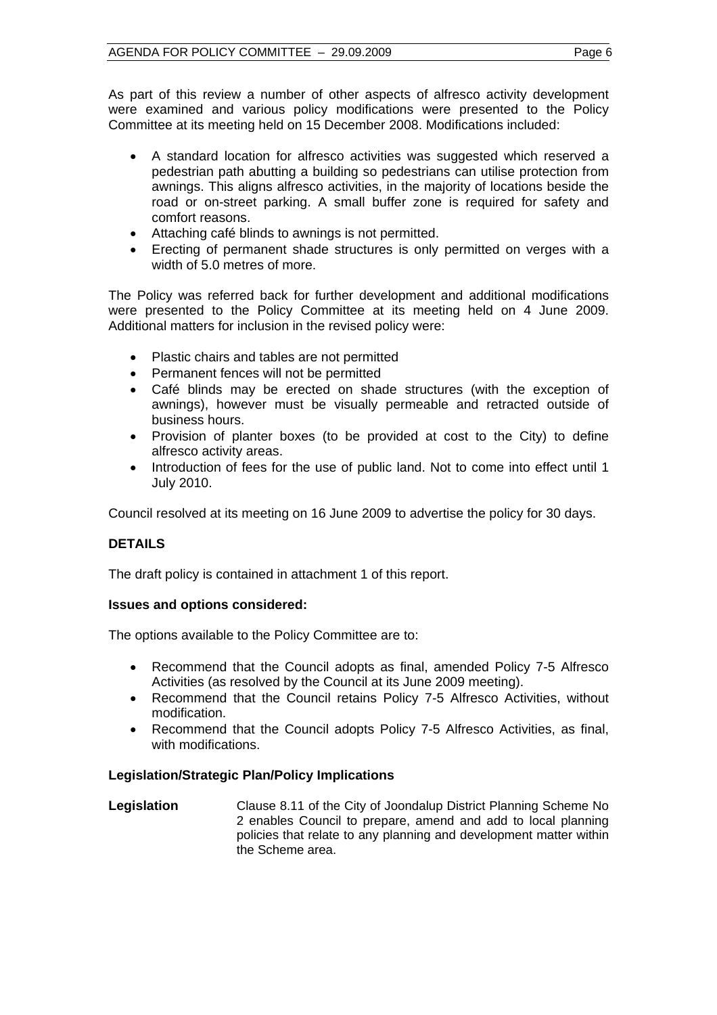As part of this review a number of other aspects of alfresco activity development were examined and various policy modifications were presented to the Policy Committee at its meeting held on 15 December 2008. Modifications included:

- A standard location for alfresco activities was suggested which reserved a pedestrian path abutting a building so pedestrians can utilise protection from awnings. This aligns alfresco activities, in the majority of locations beside the road or on-street parking. A small buffer zone is required for safety and comfort reasons.
- Attaching café blinds to awnings is not permitted.
- Erecting of permanent shade structures is only permitted on verges with a width of 5.0 metres of more.

The Policy was referred back for further development and additional modifications were presented to the Policy Committee at its meeting held on 4 June 2009. Additional matters for inclusion in the revised policy were:

- Plastic chairs and tables are not permitted
- Permanent fences will not be permitted
- Café blinds may be erected on shade structures (with the exception of awnings), however must be visually permeable and retracted outside of business hours.
- Provision of planter boxes (to be provided at cost to the City) to define alfresco activity areas.
- Introduction of fees for the use of public land. Not to come into effect until 1 July 2010.

Council resolved at its meeting on 16 June 2009 to advertise the policy for 30 days.

# **DETAILS**

The draft policy is contained in attachment 1 of this report.

# **Issues and options considered:**

The options available to the Policy Committee are to:

- Recommend that the Council adopts as final, amended Policy 7-5 Alfresco Activities (as resolved by the Council at its June 2009 meeting).
- Recommend that the Council retains Policy 7-5 Alfresco Activities, without modification.
- Recommend that the Council adopts Policy 7-5 Alfresco Activities, as final, with modifications.

# **Legislation/Strategic Plan/Policy Implications**

**Legislation** Clause 8.11 of the City of Joondalup District Planning Scheme No 2 enables Council to prepare, amend and add to local planning policies that relate to any planning and development matter within the Scheme area.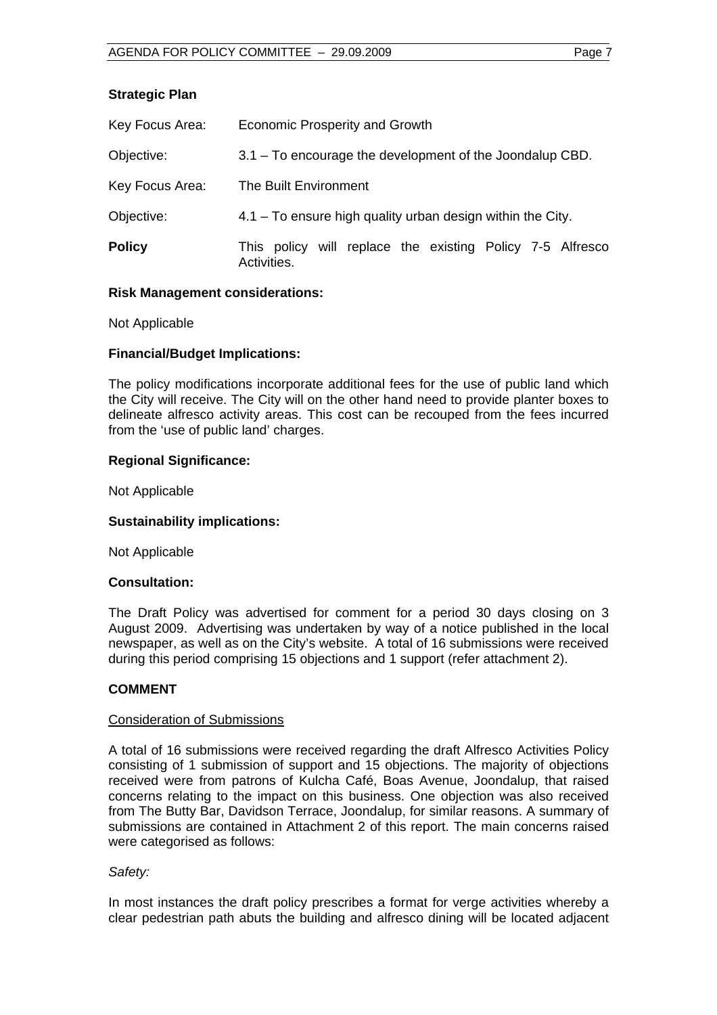# **Strategic Plan**

| Key Focus Area: | <b>Economic Prosperity and Growth</b>                                    |  |  |  |
|-----------------|--------------------------------------------------------------------------|--|--|--|
| Objective:      | 3.1 – To encourage the development of the Joondalup CBD.                 |  |  |  |
| Key Focus Area: | The Built Environment                                                    |  |  |  |
| Objective:      | 4.1 – To ensure high quality urban design within the City.               |  |  |  |
| <b>Policy</b>   | This policy will replace the existing Policy 7-5 Alfresco<br>Activities. |  |  |  |

# **Risk Management considerations:**

Not Applicable

# **Financial/Budget Implications:**

The policy modifications incorporate additional fees for the use of public land which the City will receive. The City will on the other hand need to provide planter boxes to delineate alfresco activity areas. This cost can be recouped from the fees incurred from the 'use of public land' charges.

# **Regional Significance:**

Not Applicable

#### **Sustainability implications:**

Not Applicable

# **Consultation:**

The Draft Policy was advertised for comment for a period 30 days closing on 3 August 2009. Advertising was undertaken by way of a notice published in the local newspaper, as well as on the City's website. A total of 16 submissions were received during this period comprising 15 objections and 1 support (refer attachment 2).

#### **COMMENT**

#### Consideration of Submissions

A total of 16 submissions were received regarding the draft Alfresco Activities Policy consisting of 1 submission of support and 15 objections. The majority of objections received were from patrons of Kulcha Café, Boas Avenue, Joondalup, that raised concerns relating to the impact on this business. One objection was also received from The Butty Bar, Davidson Terrace, Joondalup, for similar reasons. A summary of submissions are contained in Attachment 2 of this report. The main concerns raised were categorised as follows:

#### *Safety:*

In most instances the draft policy prescribes a format for verge activities whereby a clear pedestrian path abuts the building and alfresco dining will be located adjacent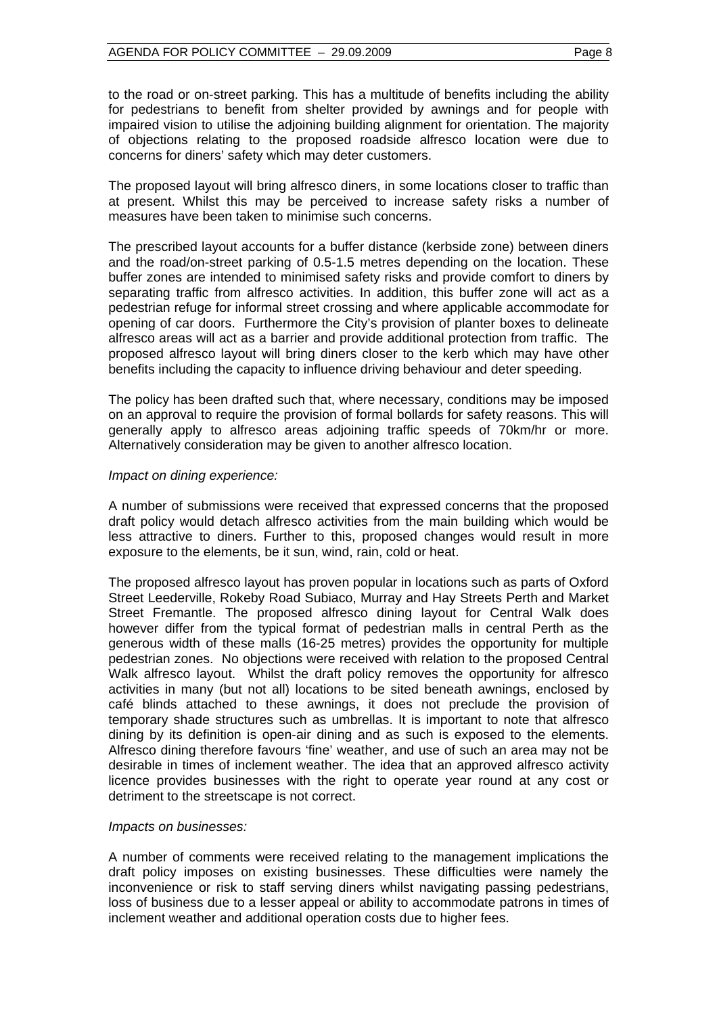to the road or on-street parking. This has a multitude of benefits including the ability for pedestrians to benefit from shelter provided by awnings and for people with impaired vision to utilise the adjoining building alignment for orientation. The majority of objections relating to the proposed roadside alfresco location were due to concerns for diners' safety which may deter customers.

The proposed layout will bring alfresco diners, in some locations closer to traffic than at present. Whilst this may be perceived to increase safety risks a number of measures have been taken to minimise such concerns.

The prescribed layout accounts for a buffer distance (kerbside zone) between diners and the road/on-street parking of 0.5-1.5 metres depending on the location. These buffer zones are intended to minimised safety risks and provide comfort to diners by separating traffic from alfresco activities. In addition, this buffer zone will act as a pedestrian refuge for informal street crossing and where applicable accommodate for opening of car doors. Furthermore the City's provision of planter boxes to delineate alfresco areas will act as a barrier and provide additional protection from traffic. The proposed alfresco layout will bring diners closer to the kerb which may have other benefits including the capacity to influence driving behaviour and deter speeding.

The policy has been drafted such that, where necessary, conditions may be imposed on an approval to require the provision of formal bollards for safety reasons. This will generally apply to alfresco areas adjoining traffic speeds of 70km/hr or more. Alternatively consideration may be given to another alfresco location.

#### *Impact on dining experience:*

A number of submissions were received that expressed concerns that the proposed draft policy would detach alfresco activities from the main building which would be less attractive to diners. Further to this, proposed changes would result in more exposure to the elements, be it sun, wind, rain, cold or heat.

The proposed alfresco layout has proven popular in locations such as parts of Oxford Street Leederville, Rokeby Road Subiaco, Murray and Hay Streets Perth and Market Street Fremantle. The proposed alfresco dining layout for Central Walk does however differ from the typical format of pedestrian malls in central Perth as the generous width of these malls (16-25 metres) provides the opportunity for multiple pedestrian zones. No objections were received with relation to the proposed Central Walk alfresco layout. Whilst the draft policy removes the opportunity for alfresco activities in many (but not all) locations to be sited beneath awnings, enclosed by café blinds attached to these awnings, it does not preclude the provision of temporary shade structures such as umbrellas. It is important to note that alfresco dining by its definition is open-air dining and as such is exposed to the elements. Alfresco dining therefore favours 'fine' weather, and use of such an area may not be desirable in times of inclement weather. The idea that an approved alfresco activity licence provides businesses with the right to operate year round at any cost or detriment to the streetscape is not correct.

#### *Impacts on businesses:*

A number of comments were received relating to the management implications the draft policy imposes on existing businesses. These difficulties were namely the inconvenience or risk to staff serving diners whilst navigating passing pedestrians, loss of business due to a lesser appeal or ability to accommodate patrons in times of inclement weather and additional operation costs due to higher fees.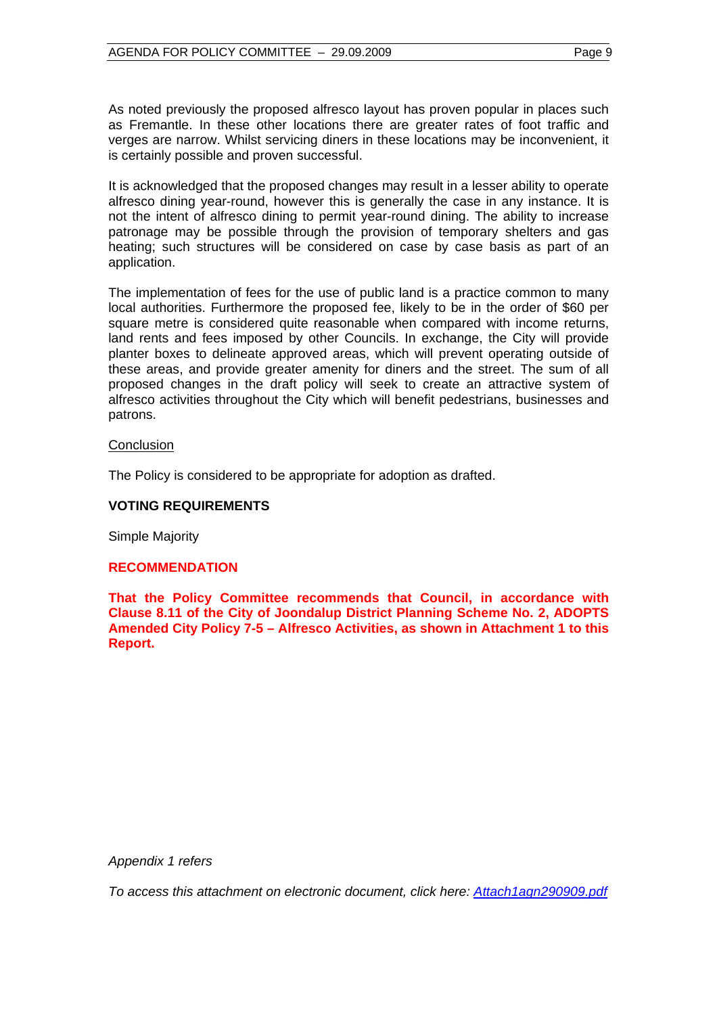As noted previously the proposed alfresco layout has proven popular in places such as Fremantle. In these other locations there are greater rates of foot traffic and verges are narrow. Whilst servicing diners in these locations may be inconvenient, it is certainly possible and proven successful.

It is acknowledged that the proposed changes may result in a lesser ability to operate alfresco dining year-round, however this is generally the case in any instance. It is not the intent of alfresco dining to permit year-round dining. The ability to increase patronage may be possible through the provision of temporary shelters and gas heating; such structures will be considered on case by case basis as part of an application.

The implementation of fees for the use of public land is a practice common to many local authorities. Furthermore the proposed fee, likely to be in the order of \$60 per square metre is considered quite reasonable when compared with income returns, land rents and fees imposed by other Councils. In exchange, the City will provide planter boxes to delineate approved areas, which will prevent operating outside of these areas, and provide greater amenity for diners and the street. The sum of all proposed changes in the draft policy will seek to create an attractive system of alfresco activities throughout the City which will benefit pedestrians, businesses and patrons.

# **Conclusion**

The Policy is considered to be appropriate for adoption as drafted.

# **VOTING REQUIREMENTS**

Simple Majority

#### **RECOMMENDATION**

**That the Policy Committee recommends that Council, in accordance with Clause 8.11 of the City of Joondalup District Planning Scheme No. 2, ADOPTS Amended City Policy 7-5 – Alfresco Activities, as shown in Attachment 1 to this Report.** 

*Appendix 1 refers* 

*To access this attachment on electronic document, click here:<Attach1agn290909.pdf>*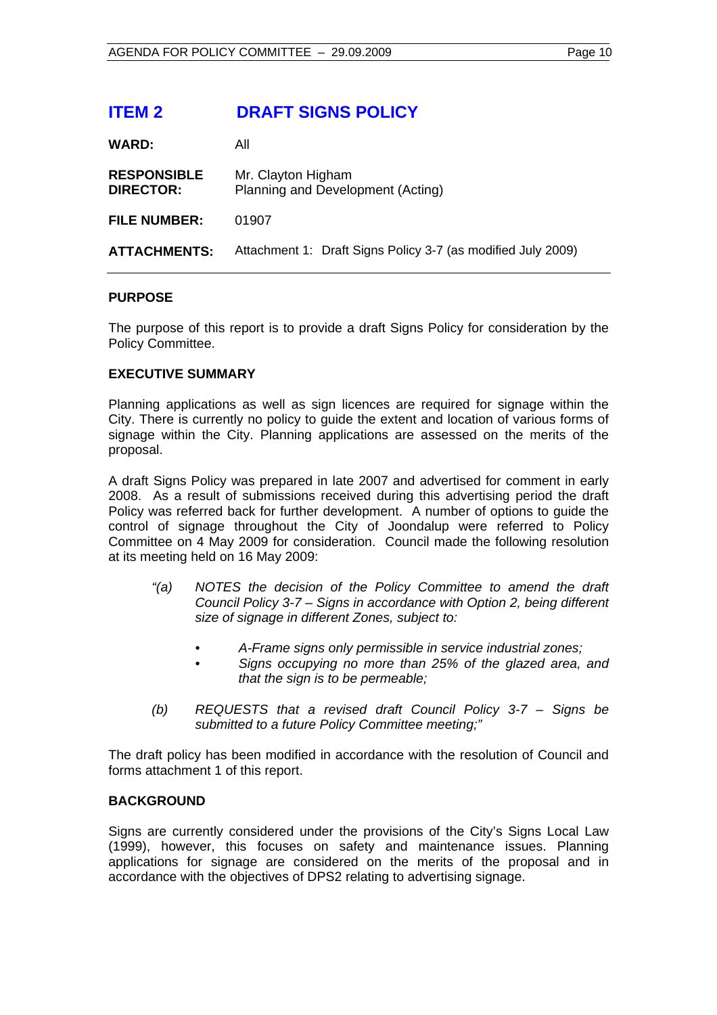# <span id="page-9-0"></span>**ITEM 2 DRAFT SIGNS POLICY**

| WARD: | All |
|-------|-----|
|-------|-----|

| <b>RESPONSIBLE</b><br><b>DIRECTOR:</b> | Mr. Clayton Higham<br>Planning and Development (Acting)      |
|----------------------------------------|--------------------------------------------------------------|
| <b>FILE NUMBER:</b>                    | 01907                                                        |
| <b>ATTACHMENTS:</b>                    | Attachment 1: Draft Signs Policy 3-7 (as modified July 2009) |

# **PURPOSE**

The purpose of this report is to provide a draft Signs Policy for consideration by the Policy Committee.

# **EXECUTIVE SUMMARY**

Planning applications as well as sign licences are required for signage within the City. There is currently no policy to guide the extent and location of various forms of signage within the City. Planning applications are assessed on the merits of the proposal.

A draft Signs Policy was prepared in late 2007 and advertised for comment in early 2008. As a result of submissions received during this advertising period the draft Policy was referred back for further development. A number of options to guide the control of signage throughout the City of Joondalup were referred to Policy Committee on 4 May 2009 for consideration. Council made the following resolution at its meeting held on 16 May 2009:

- *"(a) NOTES the decision of the Policy Committee to amend the draft Council Policy 3-7 – Signs in accordance with Option 2, being different size of signage in different Zones, subject to:* 
	- *A-Frame signs only permissible in service industrial zones;*
	- *Signs occupying no more than 25% of the glazed area, and that the sign is to be permeable;*
- *(b) REQUESTS that a revised draft Council Policy 3-7 Signs be submitted to a future Policy Committee meeting;"*

The draft policy has been modified in accordance with the resolution of Council and forms attachment 1 of this report.

# **BACKGROUND**

Signs are currently considered under the provisions of the City's Signs Local Law (1999), however, this focuses on safety and maintenance issues. Planning applications for signage are considered on the merits of the proposal and in accordance with the objectives of DPS2 relating to advertising signage.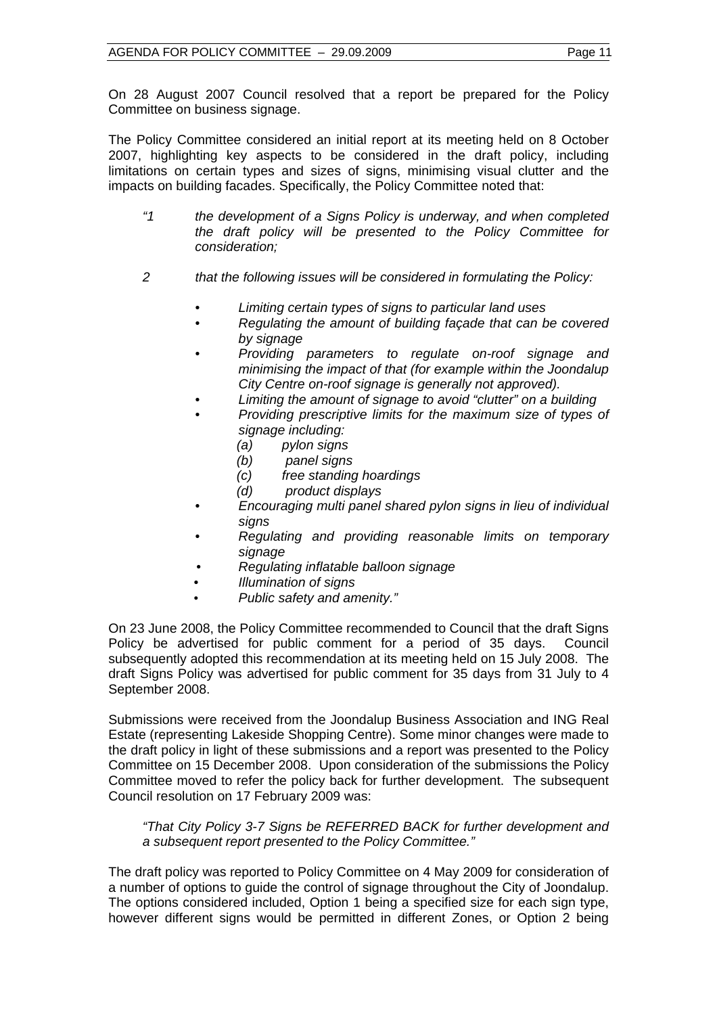On 28 August 2007 Council resolved that a report be prepared for the Policy Committee on business signage.

The Policy Committee considered an initial report at its meeting held on 8 October 2007, highlighting key aspects to be considered in the draft policy, including limitations on certain types and sizes of signs, minimising visual clutter and the impacts on building facades. Specifically, the Policy Committee noted that:

- *"1 the development of a Signs Policy is underway, and when completed the draft policy will be presented to the Policy Committee for consideration;*
- *2 that the following issues will be considered in formulating the Policy:* 
	- *Limiting certain types of signs to particular land uses*
	- *Regulating the amount of building façade that can be covered by signage*
	- *Providing parameters to regulate on-roof signage and minimising the impact of that (for example within the Joondalup City Centre on-roof signage is generally not approved).*
	- *Limiting the amount of signage to avoid "clutter" on a building*
	- *Providing prescriptive limits for the maximum size of types of signage including:* 
		- *(a) pylon signs*
		- *(b) panel signs*
		- *(c) free standing hoardings*
		- *(d) product displays*
	- *Encouraging multi panel shared pylon signs in lieu of individual signs*
	- *Regulating and providing reasonable limits on temporary signage*
	- *Regulating inflatable balloon signage*
	- *Illumination of signs*
	- *Public safety and amenity."*

On 23 June 2008, the Policy Committee recommended to Council that the draft Signs Policy be advertised for public comment for a period of 35 days. Council subsequently adopted this recommendation at its meeting held on 15 July 2008. The draft Signs Policy was advertised for public comment for 35 days from 31 July to 4 September 2008.

Submissions were received from the Joondalup Business Association and ING Real Estate (representing Lakeside Shopping Centre). Some minor changes were made to the draft policy in light of these submissions and a report was presented to the Policy Committee on 15 December 2008. Upon consideration of the submissions the Policy Committee moved to refer the policy back for further development. The subsequent Council resolution on 17 February 2009 was:

# *"That City Policy 3-7 Signs be REFERRED BACK for further development and a subsequent report presented to the Policy Committee."*

The draft policy was reported to Policy Committee on 4 May 2009 for consideration of a number of options to guide the control of signage throughout the City of Joondalup. The options considered included, Option 1 being a specified size for each sign type, however different signs would be permitted in different Zones, or Option 2 being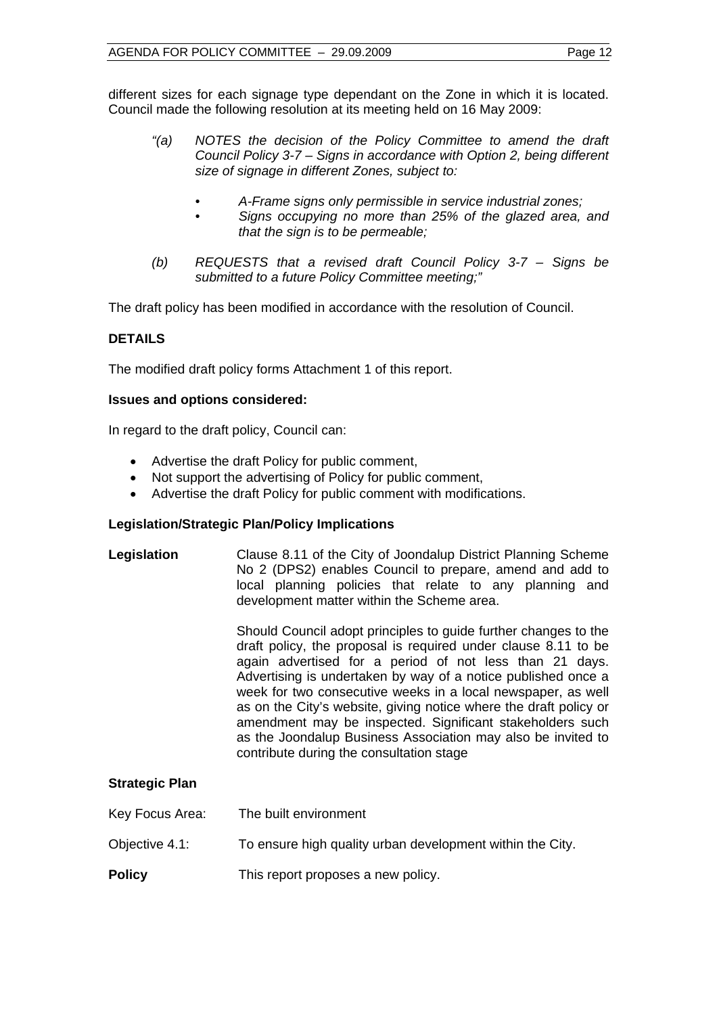different sizes for each signage type dependant on the Zone in which it is located. Council made the following resolution at its meeting held on 16 May 2009:

- *"(a) NOTES the decision of the Policy Committee to amend the draft Council Policy 3-7 – Signs in accordance with Option 2, being different size of signage in different Zones, subject to:* 
	- *A-Frame signs only permissible in service industrial zones;*
	- *Signs occupying no more than 25% of the glazed area, and that the sign is to be permeable;*
- *(b) REQUESTS that a revised draft Council Policy 3-7 Signs be submitted to a future Policy Committee meeting;"*

The draft policy has been modified in accordance with the resolution of Council.

# **DETAILS**

The modified draft policy forms Attachment 1 of this report.

# **Issues and options considered:**

In regard to the draft policy, Council can:

- Advertise the draft Policy for public comment,
- Not support the advertising of Policy for public comment,
- Advertise the draft Policy for public comment with modifications.

# **Legislation/Strategic Plan/Policy Implications**

| Clause 8.11 of the City of Joondalup District Planning Scheme<br>No 2 (DPS2) enables Council to prepare, amend and add to<br>local planning policies that relate to any planning and<br>development matter within the Scheme area.                                                                                                                                                                                                                                                                                                                                          |  |  |
|-----------------------------------------------------------------------------------------------------------------------------------------------------------------------------------------------------------------------------------------------------------------------------------------------------------------------------------------------------------------------------------------------------------------------------------------------------------------------------------------------------------------------------------------------------------------------------|--|--|
| Should Council adopt principles to guide further changes to the<br>draft policy, the proposal is required under clause 8.11 to be<br>again advertised for a period of not less than 21 days.<br>Advertising is undertaken by way of a notice published once a<br>week for two consecutive weeks in a local newspaper, as well<br>as on the City's website, giving notice where the draft policy or<br>amendment may be inspected. Significant stakeholders such<br>as the Joondalup Business Association may also be invited to<br>contribute during the consultation stage |  |  |
|                                                                                                                                                                                                                                                                                                                                                                                                                                                                                                                                                                             |  |  |
| The built environment                                                                                                                                                                                                                                                                                                                                                                                                                                                                                                                                                       |  |  |
| To ensure high quality urban development within the City.                                                                                                                                                                                                                                                                                                                                                                                                                                                                                                                   |  |  |
|                                                                                                                                                                                                                                                                                                                                                                                                                                                                                                                                                                             |  |  |

**Policy This report proposes a new policy.**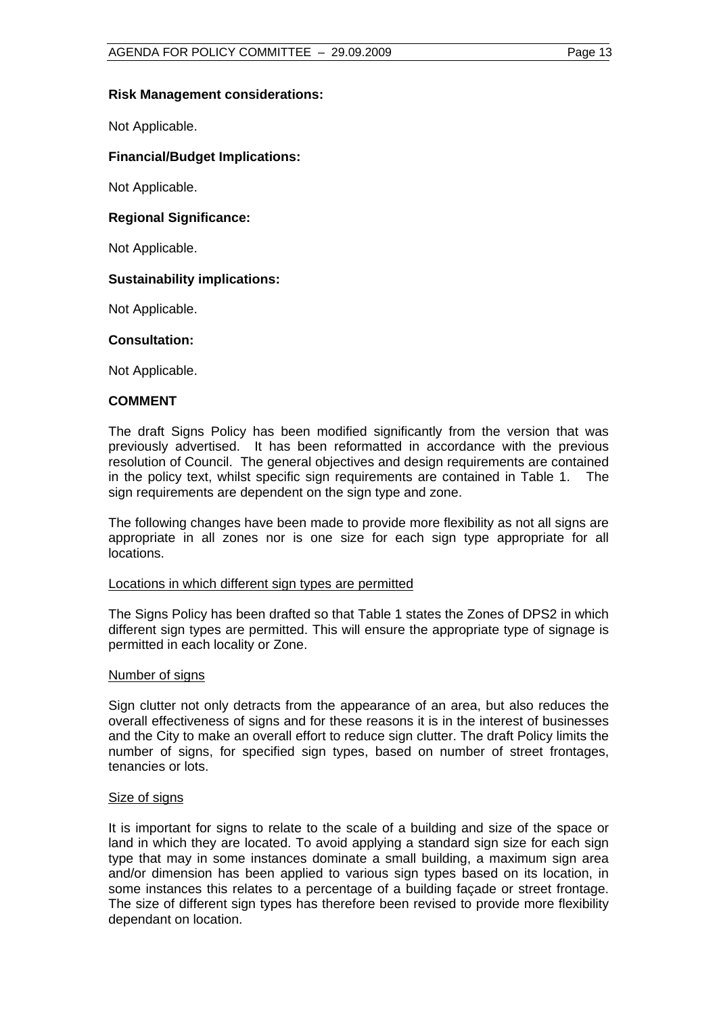# **Risk Management considerations:**

Not Applicable.

# **Financial/Budget Implications:**

Not Applicable.

# **Regional Significance:**

Not Applicable.

# **Sustainability implications:**

Not Applicable.

#### **Consultation:**

Not Applicable.

# **COMMENT**

The draft Signs Policy has been modified significantly from the version that was previously advertised. It has been reformatted in accordance with the previous resolution of Council. The general objectives and design requirements are contained in the policy text, whilst specific sign requirements are contained in Table 1. The sign requirements are dependent on the sign type and zone.

The following changes have been made to provide more flexibility as not all signs are appropriate in all zones nor is one size for each sign type appropriate for all locations.

#### Locations in which different sign types are permitted

The Signs Policy has been drafted so that Table 1 states the Zones of DPS2 in which different sign types are permitted. This will ensure the appropriate type of signage is permitted in each locality or Zone.

#### Number of signs

Sign clutter not only detracts from the appearance of an area, but also reduces the overall effectiveness of signs and for these reasons it is in the interest of businesses and the City to make an overall effort to reduce sign clutter. The draft Policy limits the number of signs, for specified sign types, based on number of street frontages, tenancies or lots.

#### Size of signs

It is important for signs to relate to the scale of a building and size of the space or land in which they are located. To avoid applying a standard sign size for each sign type that may in some instances dominate a small building, a maximum sign area and/or dimension has been applied to various sign types based on its location, in some instances this relates to a percentage of a building façade or street frontage. The size of different sign types has therefore been revised to provide more flexibility dependant on location.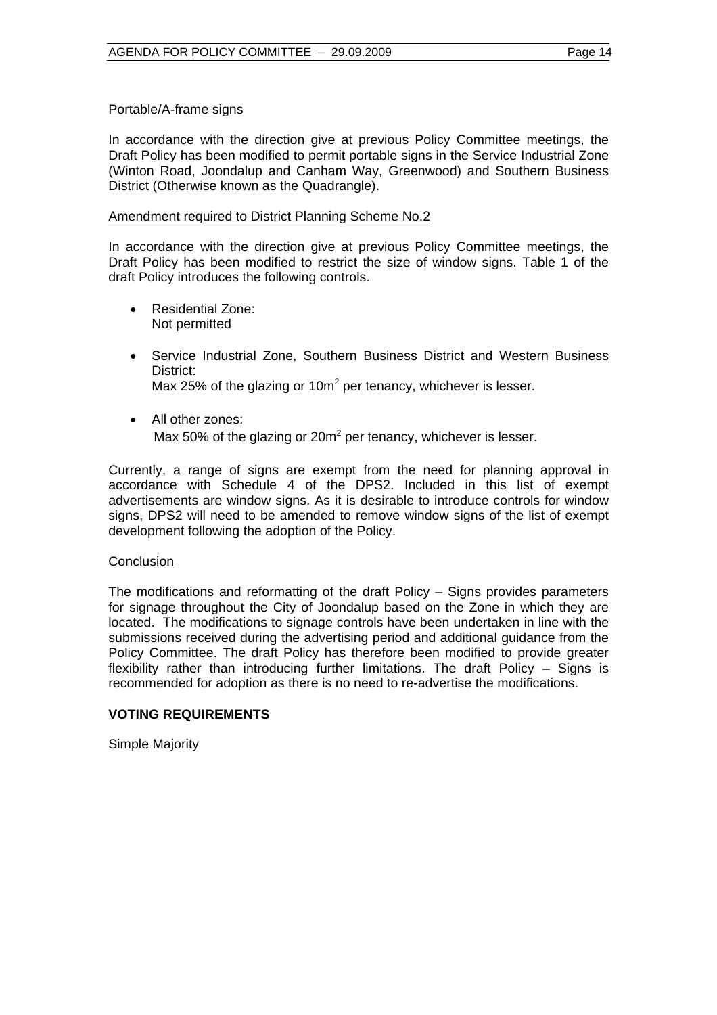# Portable/A-frame signs

In accordance with the direction give at previous Policy Committee meetings, the Draft Policy has been modified to permit portable signs in the Service Industrial Zone (Winton Road, Joondalup and Canham Way, Greenwood) and Southern Business District (Otherwise known as the Quadrangle).

#### Amendment required to District Planning Scheme No.2

In accordance with the direction give at previous Policy Committee meetings, the Draft Policy has been modified to restrict the size of window signs. Table 1 of the draft Policy introduces the following controls.

- Residential Zone: Not permitted
- Service Industrial Zone, Southern Business District and Western Business District:

Max 25% of the glazing or 10 $m^2$  per tenancy, whichever is lesser.

• All other zones: Max 50% of the glazing or 20 $m^2$  per tenancy, whichever is lesser.

Currently, a range of signs are exempt from the need for planning approval in accordance with Schedule 4 of the DPS2. Included in this list of exempt advertisements are window signs. As it is desirable to introduce controls for window signs, DPS2 will need to be amended to remove window signs of the list of exempt development following the adoption of the Policy.

#### **Conclusion**

The modifications and reformatting of the draft Policy – Signs provides parameters for signage throughout the City of Joondalup based on the Zone in which they are located. The modifications to signage controls have been undertaken in line with the submissions received during the advertising period and additional guidance from the Policy Committee. The draft Policy has therefore been modified to provide greater flexibility rather than introducing further limitations. The draft Policy – Signs is recommended for adoption as there is no need to re-advertise the modifications.

# **VOTING REQUIREMENTS**

Simple Majority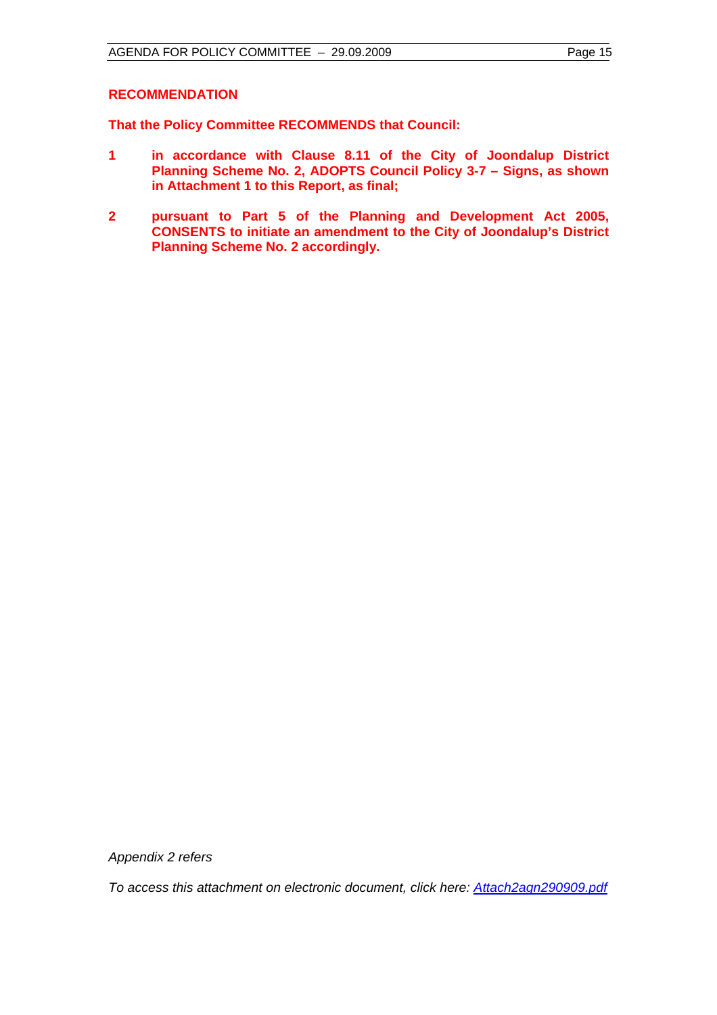# **RECOMMENDATION**

**That the Policy Committee RECOMMENDS that Council:** 

- **1 in accordance with Clause 8.11 of the City of Joondalup District Planning Scheme No. 2, ADOPTS Council Policy 3-7 – Signs, as shown in Attachment 1 to this Report, as final;**
- **2 pursuant to Part 5 of the Planning and Development Act 2005, CONSENTS to initiate an amendment to the City of Joondalup's District Planning Scheme No. 2 accordingly.**

*Appendix 2 refers* 

*To access this attachment on electronic document, click here:<Attach2agn290909.pdf>*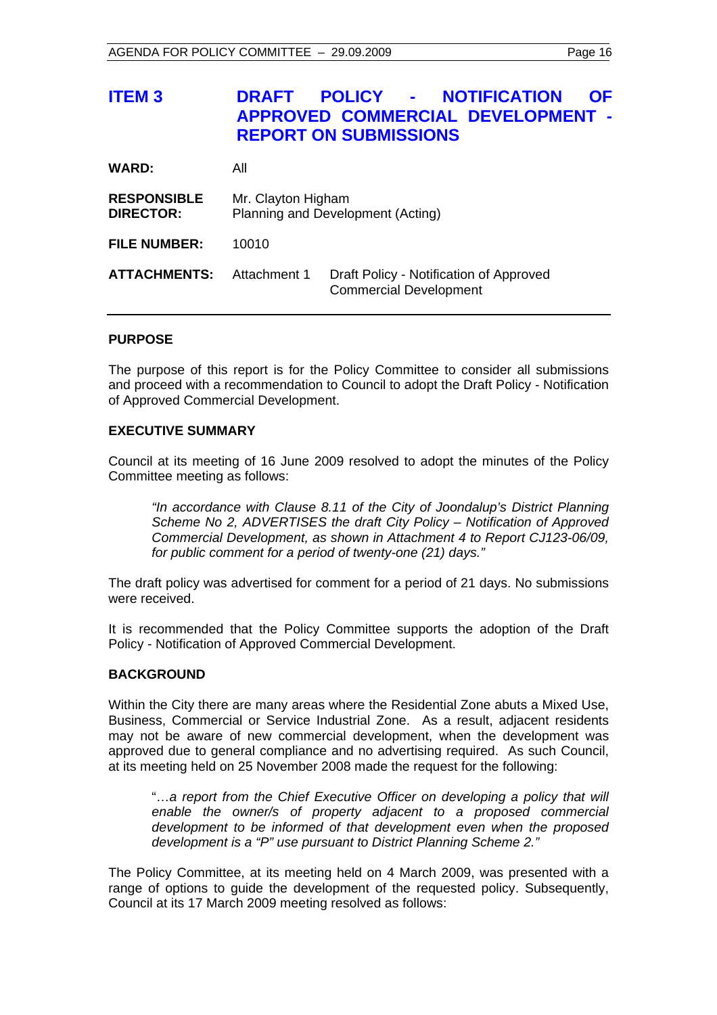# <span id="page-15-0"></span>**ITEM 3 DRAFT POLICY - NOTIFICATION OF APPROVED COMMERCIAL DEVELOPMENT - REPORT ON SUBMISSIONS**

| All                                                     |                                                                          |
|---------------------------------------------------------|--------------------------------------------------------------------------|
| Mr. Clayton Higham<br>Planning and Development (Acting) |                                                                          |
| 10010                                                   |                                                                          |
| Attachment 1                                            | Draft Policy - Notification of Approved<br><b>Commercial Development</b> |
|                                                         |                                                                          |

# **PURPOSE**

The purpose of this report is for the Policy Committee to consider all submissions and proceed with a recommendation to Council to adopt the Draft Policy - Notification of Approved Commercial Development.

#### **EXECUTIVE SUMMARY**

Council at its meeting of 16 June 2009 resolved to adopt the minutes of the Policy Committee meeting as follows:

*"In accordance with Clause 8.11 of the City of Joondalup's District Planning Scheme No 2, ADVERTISES the draft City Policy – Notification of Approved Commercial Development, as shown in Attachment 4 to Report CJ123-06/09, for public comment for a period of twenty-one (21) days."* 

The draft policy was advertised for comment for a period of 21 days. No submissions were received.

It is recommended that the Policy Committee supports the adoption of the Draft Policy - Notification of Approved Commercial Development.

#### **BACKGROUND**

Within the City there are many areas where the Residential Zone abuts a Mixed Use, Business, Commercial or Service Industrial Zone. As a result, adjacent residents may not be aware of new commercial development, when the development was approved due to general compliance and no advertising required. As such Council, at its meeting held on 25 November 2008 made the request for the following:

"…*a report from the Chief Executive Officer on developing a policy that will enable the owner/s of property adjacent to a proposed commercial development to be informed of that development even when the proposed development is a "P" use pursuant to District Planning Scheme 2."* 

The Policy Committee, at its meeting held on 4 March 2009, was presented with a range of options to guide the development of the requested policy. Subsequently, Council at its 17 March 2009 meeting resolved as follows: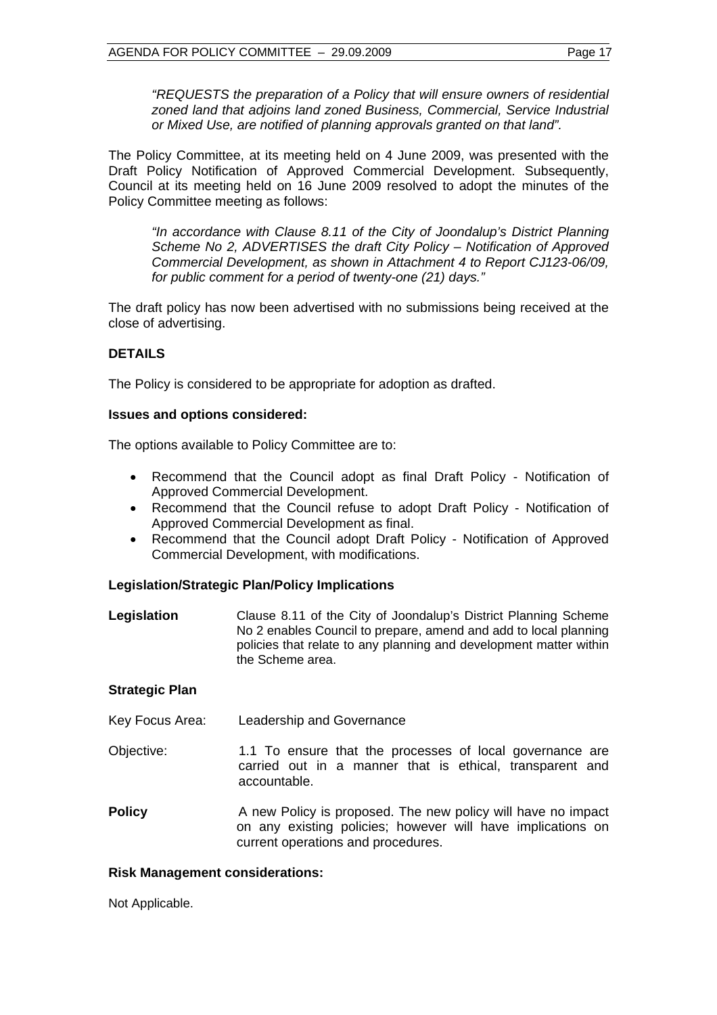*"REQUESTS the preparation of a Policy that will ensure owners of residential zoned land that adjoins land zoned Business, Commercial, Service Industrial or Mixed Use, are notified of planning approvals granted on that land".* 

The Policy Committee, at its meeting held on 4 June 2009, was presented with the Draft Policy Notification of Approved Commercial Development. Subsequently, Council at its meeting held on 16 June 2009 resolved to adopt the minutes of the Policy Committee meeting as follows:

*"In accordance with Clause 8.11 of the City of Joondalup's District Planning Scheme No 2, ADVERTISES the draft City Policy – Notification of Approved Commercial Development, as shown in Attachment 4 to Report CJ123-06/09, for public comment for a period of twenty-one (21) days."* 

The draft policy has now been advertised with no submissions being received at the close of advertising.

# **DETAILS**

The Policy is considered to be appropriate for adoption as drafted.

# **Issues and options considered:**

The options available to Policy Committee are to:

- Recommend that the Council adopt as final Draft Policy Notification of Approved Commercial Development.
- Recommend that the Council refuse to adopt Draft Policy Notification of Approved Commercial Development as final.
- Recommend that the Council adopt Draft Policy Notification of Approved Commercial Development, with modifications.

# **Legislation/Strategic Plan/Policy Implications**

**Legislation** Clause 8.11 of the City of Joondalup's District Planning Scheme No 2 enables Council to prepare, amend and add to local planning policies that relate to any planning and development matter within the Scheme area.

#### **Strategic Plan**

- Key Focus Area: Leadership and Governance
- Objective: 1.1 To ensure that the processes of local governance are carried out in a manner that is ethical, transparent and accountable.
- **Policy A** new Policy is proposed. The new policy will have no impact on any existing policies; however will have implications on current operations and procedures.

#### **Risk Management considerations:**

Not Applicable.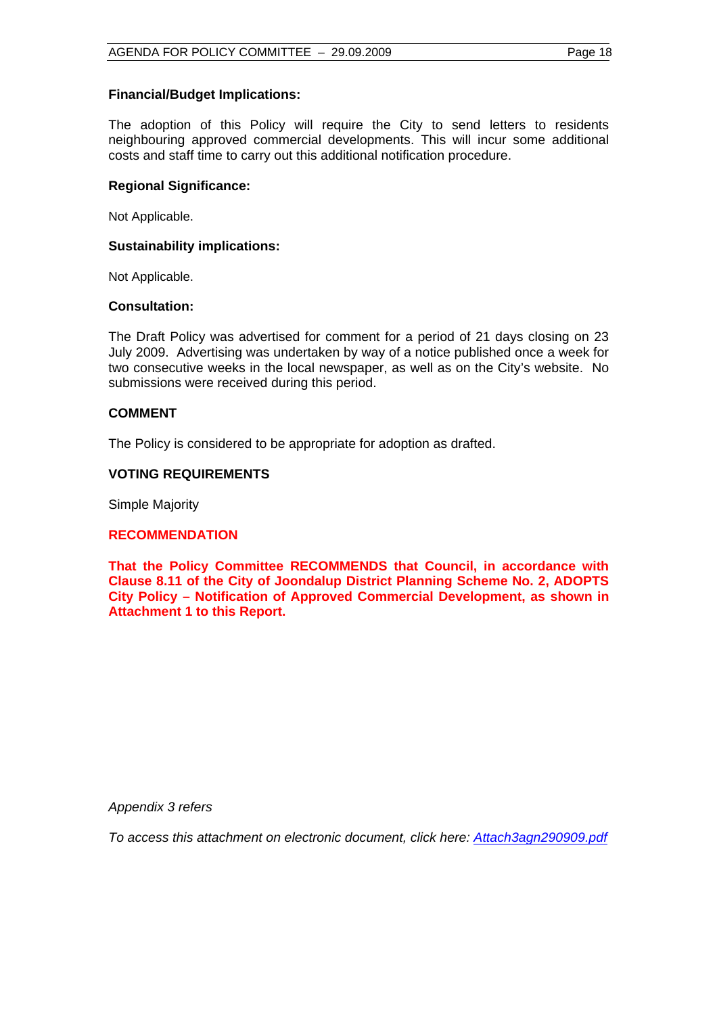# **Financial/Budget Implications:**

The adoption of this Policy will require the City to send letters to residents neighbouring approved commercial developments. This will incur some additional costs and staff time to carry out this additional notification procedure.

# **Regional Significance:**

Not Applicable.

# **Sustainability implications:**

Not Applicable.

# **Consultation:**

The Draft Policy was advertised for comment for a period of 21 days closing on 23 July 2009. Advertising was undertaken by way of a notice published once a week for two consecutive weeks in the local newspaper, as well as on the City's website. No submissions were received during this period.

# **COMMENT**

The Policy is considered to be appropriate for adoption as drafted.

# **VOTING REQUIREMENTS**

Simple Majority

#### **RECOMMENDATION**

**That the Policy Committee RECOMMENDS that Council, in accordance with Clause 8.11 of the City of Joondalup District Planning Scheme No. 2, ADOPTS City Policy – Notification of Approved Commercial Development, as shown in Attachment 1 to this Report.** 

*Appendix 3 refers* 

*To access this attachment on electronic document, click here[: Attach3agn290909.pdf](Attach3agn290909.pdf)*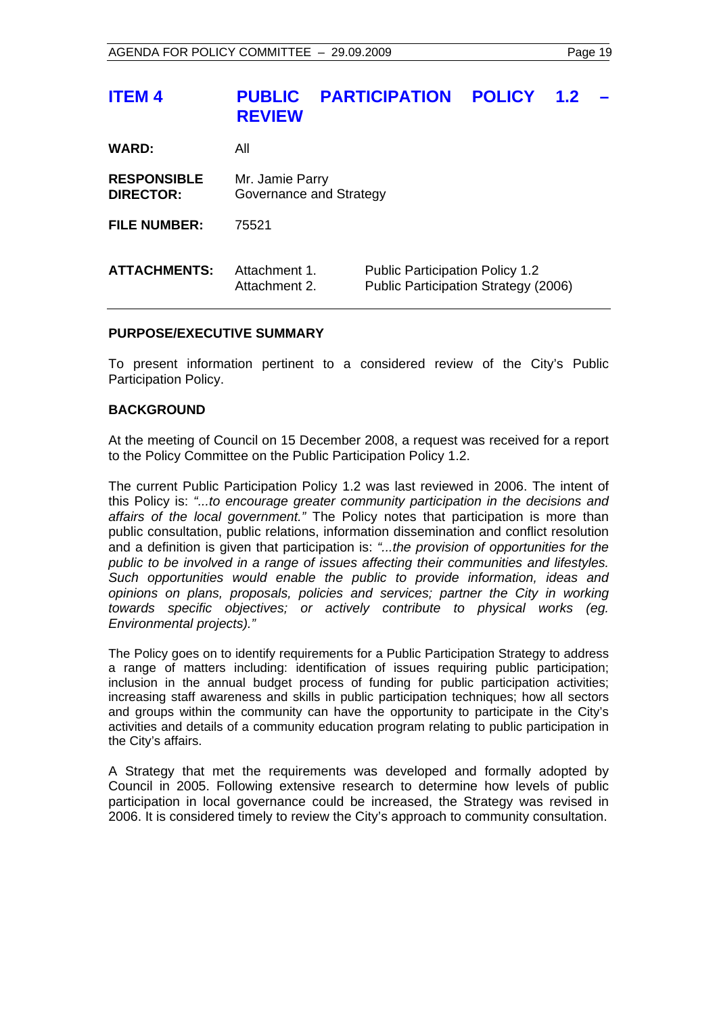# <span id="page-18-0"></span>**ITEM 4 PUBLIC PARTICIPATION POLICY 1.2 REVIEW**

**WARD:** All

**RESPONSIBLE** Mr. Jamie Parry **DIRECTOR:** Governance and Strategy

**FILE NUMBER:** 75521

| <b>ATTACHMENTS:</b> | Attachment 1. | <b>Public Participation Policy 1.2</b> |
|---------------------|---------------|----------------------------------------|
|                     | Attachment 2. | Public Participation Strategy (2006)   |

# **PURPOSE/EXECUTIVE SUMMARY**

To present information pertinent to a considered review of the City's Public Participation Policy.

# **BACKGROUND**

At the meeting of Council on 15 December 2008, a request was received for a report to the Policy Committee on the Public Participation Policy 1.2.

The current Public Participation Policy 1.2 was last reviewed in 2006. The intent of this Policy is: *"...to encourage greater community participation in the decisions and affairs of the local government."* The Policy notes that participation is more than public consultation, public relations, information dissemination and conflict resolution and a definition is given that participation is: *"...the provision of opportunities for the public to be involved in a range of issues affecting their communities and lifestyles. Such opportunities would enable the public to provide information, ideas and opinions on plans, proposals, policies and services; partner the City in working towards specific objectives; or actively contribute to physical works (eg. Environmental projects)."* 

The Policy goes on to identify requirements for a Public Participation Strategy to address a range of matters including: identification of issues requiring public participation; inclusion in the annual budget process of funding for public participation activities; increasing staff awareness and skills in public participation techniques; how all sectors and groups within the community can have the opportunity to participate in the City's activities and details of a community education program relating to public participation in the City's affairs.

A Strategy that met the requirements was developed and formally adopted by Council in 2005. Following extensive research to determine how levels of public participation in local governance could be increased, the Strategy was revised in 2006. It is considered timely to review the City's approach to community consultation.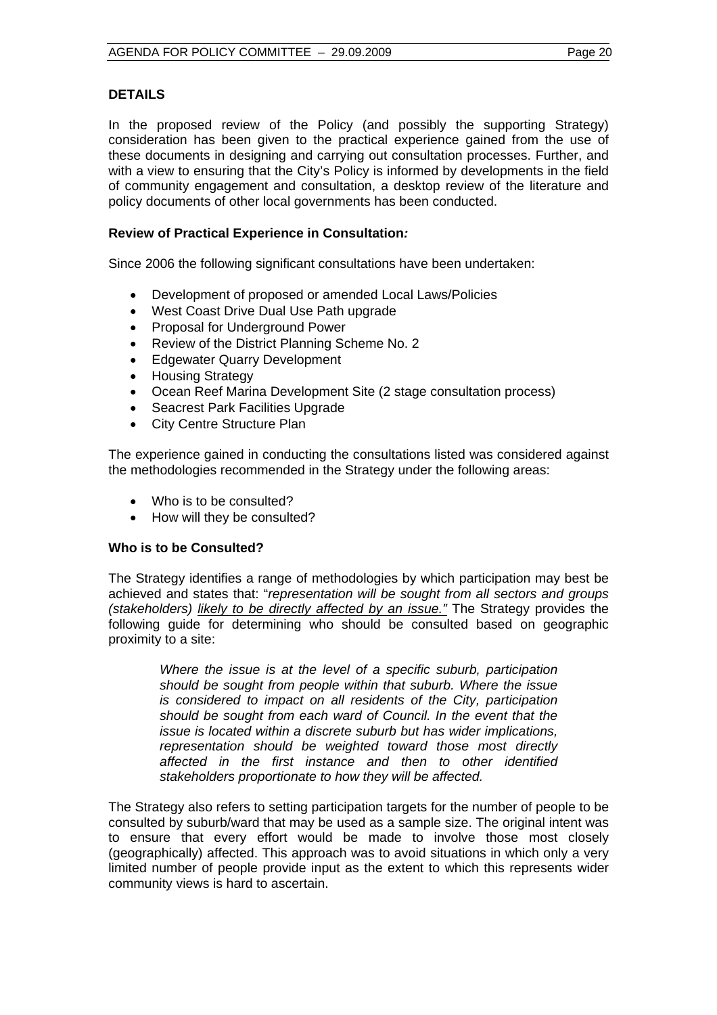# **DETAILS**

In the proposed review of the Policy (and possibly the supporting Strategy) consideration has been given to the practical experience gained from the use of these documents in designing and carrying out consultation processes. Further, and with a view to ensuring that the City's Policy is informed by developments in the field of community engagement and consultation, a desktop review of the literature and policy documents of other local governments has been conducted.

# **Review of Practical Experience in Consultation***:*

Since 2006 the following significant consultations have been undertaken:

- Development of proposed or amended Local Laws/Policies
- West Coast Drive Dual Use Path upgrade
- Proposal for Underground Power
- Review of the District Planning Scheme No. 2
- Edgewater Quarry Development
- Housing Strategy
- Ocean Reef Marina Development Site (2 stage consultation process)
- Seacrest Park Facilities Upgrade
- City Centre Structure Plan

The experience gained in conducting the consultations listed was considered against the methodologies recommended in the Strategy under the following areas:

- Who is to be consulted?
- How will they be consulted?

# **Who is to be Consulted?**

The Strategy identifies a range of methodologies by which participation may best be achieved and states that: "*representation will be sought from all sectors and groups (stakeholders) likely to be directly affected by an issue."* The Strategy provides the following guide for determining who should be consulted based on geographic proximity to a site:

> *Where the issue is at the level of a specific suburb, participation should be sought from people within that suburb. Where the issue is considered to impact on all residents of the City, participation should be sought from each ward of Council. In the event that the issue is located within a discrete suburb but has wider implications, representation should be weighted toward those most directly affected in the first instance and then to other identified stakeholders proportionate to how they will be affected.*

The Strategy also refers to setting participation targets for the number of people to be consulted by suburb/ward that may be used as a sample size. The original intent was to ensure that every effort would be made to involve those most closely (geographically) affected. This approach was to avoid situations in which only a very limited number of people provide input as the extent to which this represents wider community views is hard to ascertain.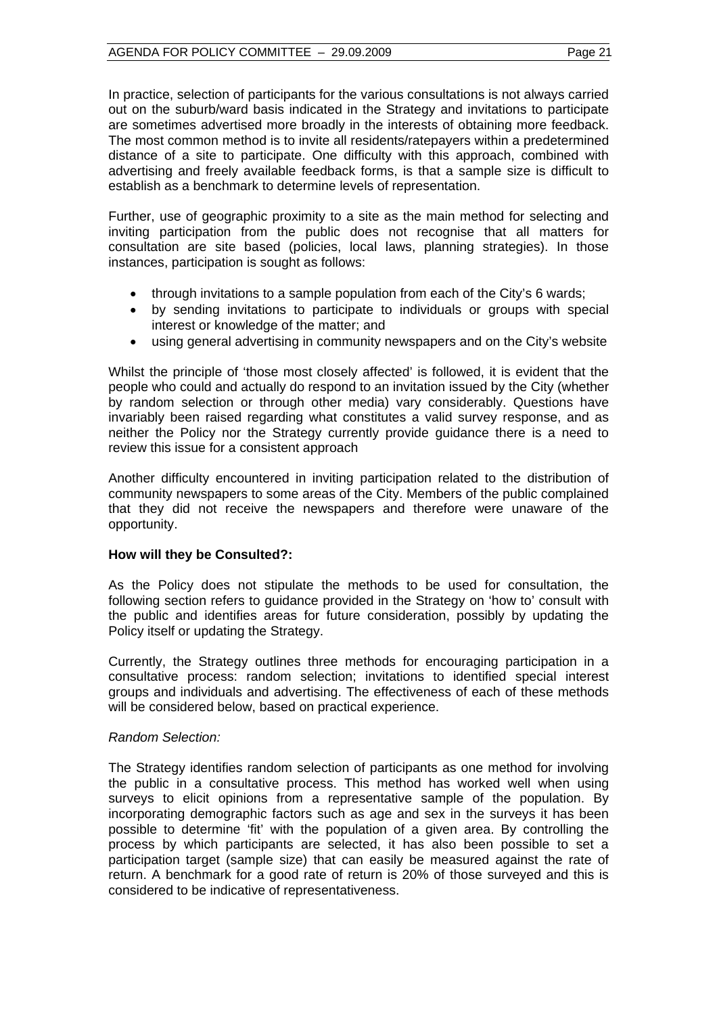In practice, selection of participants for the various consultations is not always carried out on the suburb/ward basis indicated in the Strategy and invitations to participate are sometimes advertised more broadly in the interests of obtaining more feedback. The most common method is to invite all residents/ratepayers within a predetermined distance of a site to participate. One difficulty with this approach, combined with advertising and freely available feedback forms, is that a sample size is difficult to establish as a benchmark to determine levels of representation.

Further, use of geographic proximity to a site as the main method for selecting and inviting participation from the public does not recognise that all matters for consultation are site based (policies, local laws, planning strategies). In those instances, participation is sought as follows:

- through invitations to a sample population from each of the City's 6 wards;
- by sending invitations to participate to individuals or groups with special interest or knowledge of the matter; and
- using general advertising in community newspapers and on the City's website

Whilst the principle of 'those most closely affected' is followed, it is evident that the people who could and actually do respond to an invitation issued by the City (whether by random selection or through other media) vary considerably. Questions have invariably been raised regarding what constitutes a valid survey response, and as neither the Policy nor the Strategy currently provide guidance there is a need to review this issue for a consistent approach

Another difficulty encountered in inviting participation related to the distribution of community newspapers to some areas of the City. Members of the public complained that they did not receive the newspapers and therefore were unaware of the opportunity.

# **How will they be Consulted?:**

As the Policy does not stipulate the methods to be used for consultation, the following section refers to guidance provided in the Strategy on 'how to' consult with the public and identifies areas for future consideration, possibly by updating the Policy itself or updating the Strategy.

Currently, the Strategy outlines three methods for encouraging participation in a consultative process: random selection; invitations to identified special interest groups and individuals and advertising. The effectiveness of each of these methods will be considered below, based on practical experience.

# *Random Selection:*

The Strategy identifies random selection of participants as one method for involving the public in a consultative process. This method has worked well when using surveys to elicit opinions from a representative sample of the population. By incorporating demographic factors such as age and sex in the surveys it has been possible to determine 'fit' with the population of a given area. By controlling the process by which participants are selected, it has also been possible to set a participation target (sample size) that can easily be measured against the rate of return. A benchmark for a good rate of return is 20% of those surveyed and this is considered to be indicative of representativeness.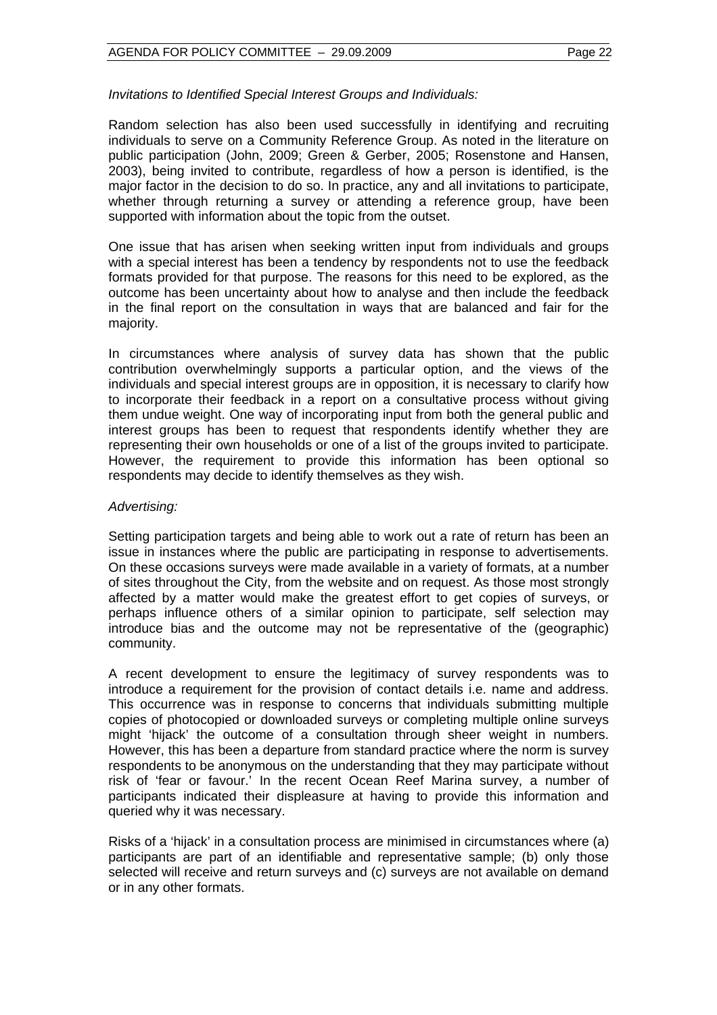*Invitations to Identified Special Interest Groups and Individuals:* 

Random selection has also been used successfully in identifying and recruiting individuals to serve on a Community Reference Group. As noted in the literature on public participation (John, 2009; Green & Gerber, 2005; Rosenstone and Hansen, 2003), being invited to contribute, regardless of how a person is identified, is the major factor in the decision to do so. In practice, any and all invitations to participate, whether through returning a survey or attending a reference group, have been supported with information about the topic from the outset.

One issue that has arisen when seeking written input from individuals and groups with a special interest has been a tendency by respondents not to use the feedback formats provided for that purpose. The reasons for this need to be explored, as the outcome has been uncertainty about how to analyse and then include the feedback in the final report on the consultation in ways that are balanced and fair for the majority.

In circumstances where analysis of survey data has shown that the public contribution overwhelmingly supports a particular option, and the views of the individuals and special interest groups are in opposition, it is necessary to clarify how to incorporate their feedback in a report on a consultative process without giving them undue weight. One way of incorporating input from both the general public and interest groups has been to request that respondents identify whether they are representing their own households or one of a list of the groups invited to participate. However, the requirement to provide this information has been optional so respondents may decide to identify themselves as they wish.

# *Advertising:*

Setting participation targets and being able to work out a rate of return has been an issue in instances where the public are participating in response to advertisements. On these occasions surveys were made available in a variety of formats, at a number of sites throughout the City, from the website and on request. As those most strongly affected by a matter would make the greatest effort to get copies of surveys, or perhaps influence others of a similar opinion to participate, self selection may introduce bias and the outcome may not be representative of the (geographic) community.

A recent development to ensure the legitimacy of survey respondents was to introduce a requirement for the provision of contact details i.e. name and address. This occurrence was in response to concerns that individuals submitting multiple copies of photocopied or downloaded surveys or completing multiple online surveys might 'hijack' the outcome of a consultation through sheer weight in numbers. However, this has been a departure from standard practice where the norm is survey respondents to be anonymous on the understanding that they may participate without risk of 'fear or favour.' In the recent Ocean Reef Marina survey, a number of participants indicated their displeasure at having to provide this information and queried why it was necessary.

Risks of a 'hijack' in a consultation process are minimised in circumstances where (a) participants are part of an identifiable and representative sample; (b) only those selected will receive and return surveys and (c) surveys are not available on demand or in any other formats.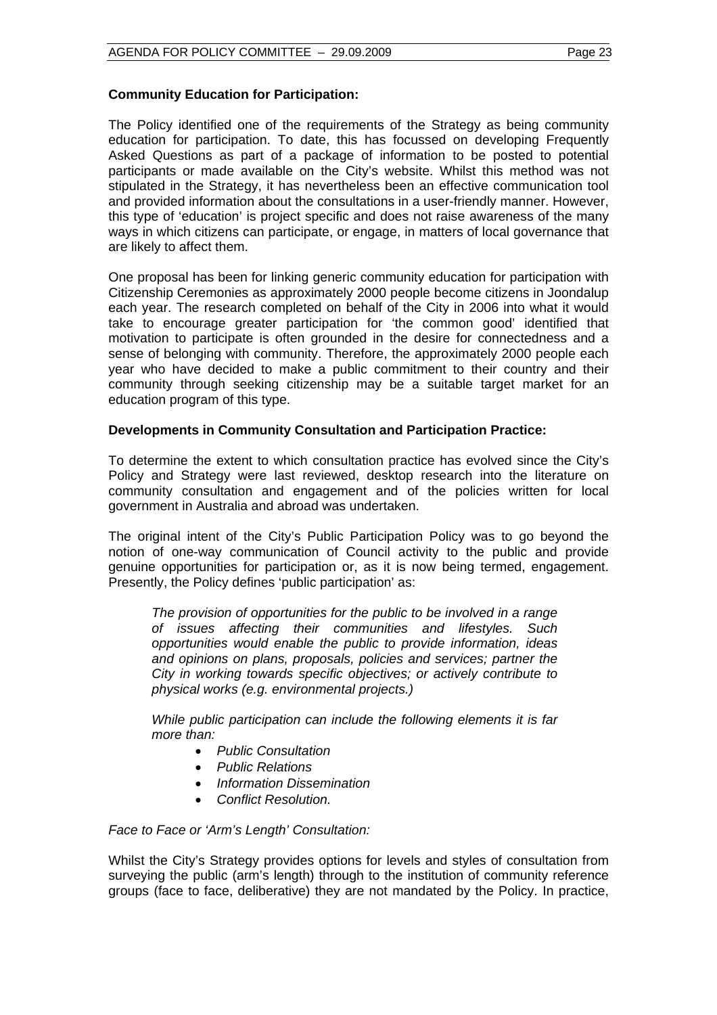# **Community Education for Participation:**

The Policy identified one of the requirements of the Strategy as being community education for participation. To date, this has focussed on developing Frequently Asked Questions as part of a package of information to be posted to potential participants or made available on the City's website. Whilst this method was not stipulated in the Strategy, it has nevertheless been an effective communication tool and provided information about the consultations in a user-friendly manner. However, this type of 'education' is project specific and does not raise awareness of the many ways in which citizens can participate, or engage, in matters of local governance that are likely to affect them.

One proposal has been for linking generic community education for participation with Citizenship Ceremonies as approximately 2000 people become citizens in Joondalup each year. The research completed on behalf of the City in 2006 into what it would take to encourage greater participation for 'the common good' identified that motivation to participate is often grounded in the desire for connectedness and a sense of belonging with community. Therefore, the approximately 2000 people each year who have decided to make a public commitment to their country and their community through seeking citizenship may be a suitable target market for an education program of this type.

# **Developments in Community Consultation and Participation Practice:**

To determine the extent to which consultation practice has evolved since the City's Policy and Strategy were last reviewed, desktop research into the literature on community consultation and engagement and of the policies written for local government in Australia and abroad was undertaken.

The original intent of the City's Public Participation Policy was to go beyond the notion of one-way communication of Council activity to the public and provide genuine opportunities for participation or, as it is now being termed, engagement. Presently, the Policy defines 'public participation' as:

*The provision of opportunities for the public to be involved in a range of issues affecting their communities and lifestyles. Such opportunities would enable the public to provide information, ideas and opinions on plans, proposals, policies and services; partner the City in working towards specific objectives; or actively contribute to physical works (e.g. environmental projects.)* 

*While public participation can include the following elements it is far more than:* 

- *Public Consultation*
- *Public Relations*
- *Information Dissemination*
- *Conflict Resolution.*

*Face to Face or 'Arm's Length' Consultation:* 

Whilst the City's Strategy provides options for levels and styles of consultation from surveying the public (arm's length) through to the institution of community reference groups (face to face, deliberative) they are not mandated by the Policy. In practice,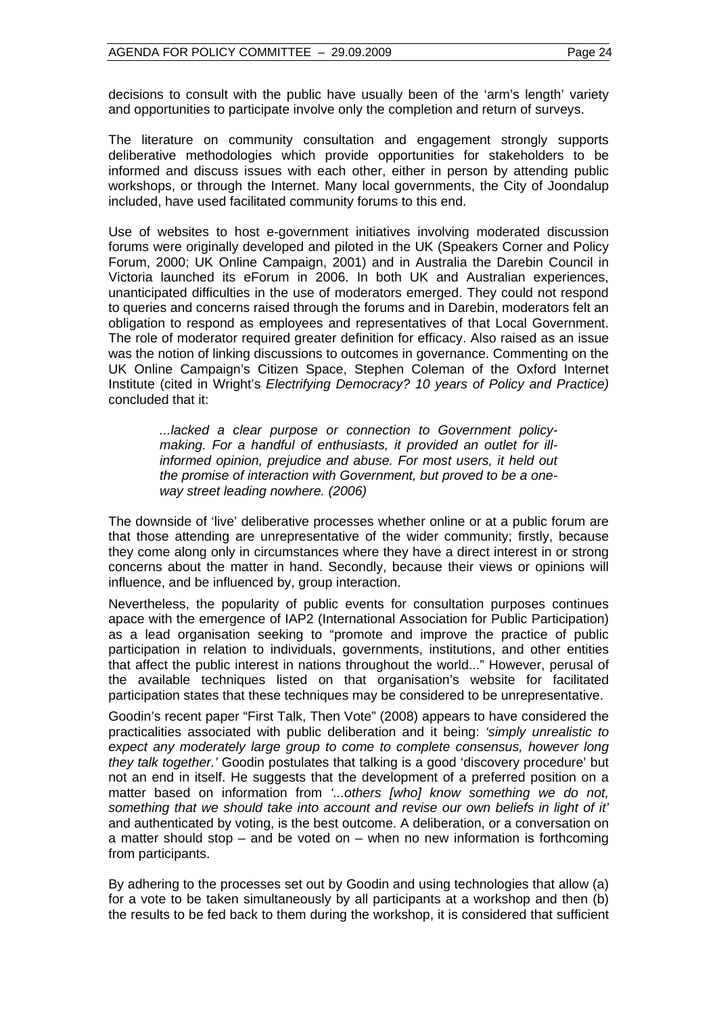decisions to consult with the public have usually been of the 'arm's length' variety and opportunities to participate involve only the completion and return of surveys.

The literature on community consultation and engagement strongly supports deliberative methodologies which provide opportunities for stakeholders to be informed and discuss issues with each other, either in person by attending public workshops, or through the Internet. Many local governments, the City of Joondalup included, have used facilitated community forums to this end.

Use of websites to host e-government initiatives involving moderated discussion forums were originally developed and piloted in the UK (Speakers Corner and Policy Forum, 2000; UK Online Campaign, 2001) and in Australia the Darebin Council in Victoria launched its eForum in 2006. In both UK and Australian experiences, unanticipated difficulties in the use of moderators emerged. They could not respond to queries and concerns raised through the forums and in Darebin, moderators felt an obligation to respond as employees and representatives of that Local Government. The role of moderator required greater definition for efficacy. Also raised as an issue was the notion of linking discussions to outcomes in governance. Commenting on the UK Online Campaign's Citizen Space, Stephen Coleman of the Oxford Internet Institute (cited in Wright's *Electrifying Democracy? 10 years of Policy and Practice)* concluded that it:

> *...lacked a clear purpose or connection to Government policymaking. For a handful of enthusiasts, it provided an outlet for illinformed opinion, prejudice and abuse. For most users, it held out the promise of interaction with Government, but proved to be a oneway street leading nowhere. (2006)*

The downside of 'live' deliberative processes whether online or at a public forum are that those attending are unrepresentative of the wider community; firstly, because they come along only in circumstances where they have a direct interest in or strong concerns about the matter in hand. Secondly, because their views or opinions will influence, and be influenced by, group interaction.

Nevertheless, the popularity of public events for consultation purposes continues apace with the emergence of IAP2 (International Association for Public Participation) as a lead organisation seeking to "promote and improve the practice of public participation in relation to individuals, governments, institutions, and other entities that affect the public interest in nations throughout the world..." However, perusal of the available techniques listed on that organisation's website for facilitated participation states that these techniques may be considered to be unrepresentative.

Goodin's recent paper "First Talk, Then Vote" (2008) appears to have considered the practicalities associated with public deliberation and it being: *'simply unrealistic to expect any moderately large group to come to complete consensus, however long they talk together.'* Goodin postulates that talking is a good 'discovery procedure' but not an end in itself. He suggests that the development of a preferred position on a matter based on information from *'...others [who] know something we do not, something that we should take into account and revise our own beliefs in light of it'* and authenticated by voting, is the best outcome. A deliberation, or a conversation on a matter should stop – and be voted on – when no new information is forthcoming from participants.

By adhering to the processes set out by Goodin and using technologies that allow (a) for a vote to be taken simultaneously by all participants at a workshop and then (b) the results to be fed back to them during the workshop, it is considered that sufficient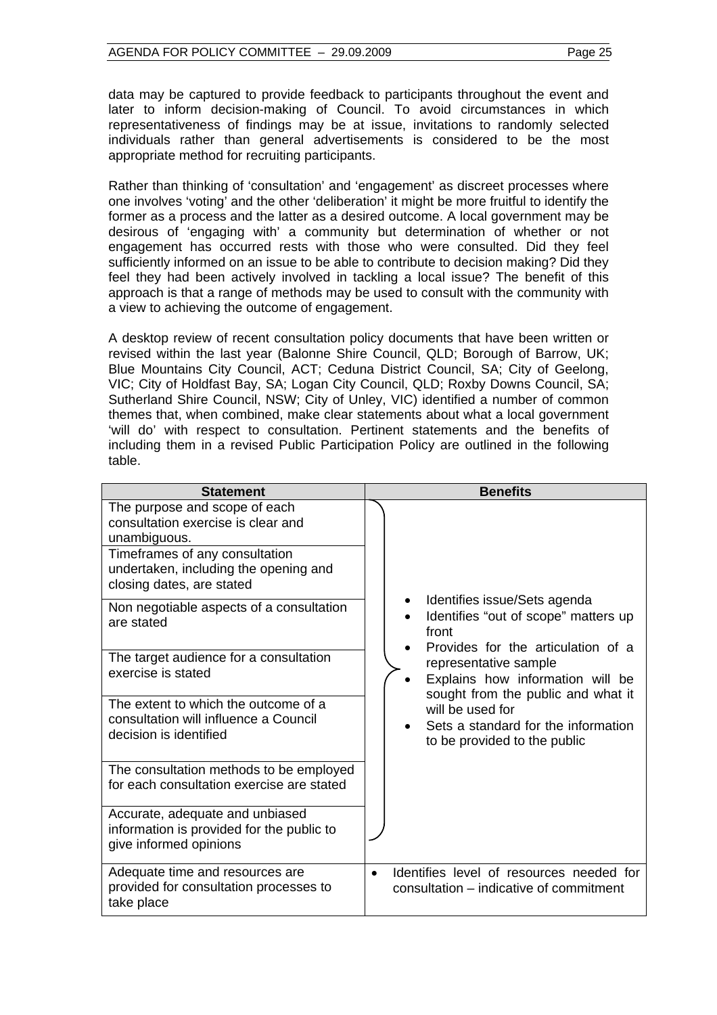data may be captured to provide feedback to participants throughout the event and later to inform decision-making of Council. To avoid circumstances in which representativeness of findings may be at issue, invitations to randomly selected individuals rather than general advertisements is considered to be the most appropriate method for recruiting participants.

Rather than thinking of 'consultation' and 'engagement' as discreet processes where one involves 'voting' and the other 'deliberation' it might be more fruitful to identify the former as a process and the latter as a desired outcome. A local government may be desirous of 'engaging with' a community but determination of whether or not engagement has occurred rests with those who were consulted. Did they feel sufficiently informed on an issue to be able to contribute to decision making? Did they feel they had been actively involved in tackling a local issue? The benefit of this approach is that a range of methods may be used to consult with the community with a view to achieving the outcome of engagement.

A desktop review of recent consultation policy documents that have been written or revised within the last year (Balonne Shire Council, QLD; Borough of Barrow, UK; Blue Mountains City Council, ACT; Ceduna District Council, SA; City of Geelong, VIC; City of Holdfast Bay, SA; Logan City Council, QLD; Roxby Downs Council, SA; Sutherland Shire Council, NSW; City of Unley, VIC) identified a number of common themes that, when combined, make clear statements about what a local government 'will do' with respect to consultation. Pertinent statements and the benefits of including them in a revised Public Participation Policy are outlined in the following table.

| <b>Statement</b>                                                                                                                                                                            | <b>Benefits</b>                                                                                                                       |
|---------------------------------------------------------------------------------------------------------------------------------------------------------------------------------------------|---------------------------------------------------------------------------------------------------------------------------------------|
| The purpose and scope of each<br>consultation exercise is clear and<br>unambiguous.<br>Timeframes of any consultation<br>undertaken, including the opening and<br>closing dates, are stated |                                                                                                                                       |
| Non negotiable aspects of a consultation<br>are stated                                                                                                                                      | Identifies issue/Sets agenda<br>Identifies "out of scope" matters up<br>front                                                         |
| The target audience for a consultation<br>exercise is stated                                                                                                                                | Provides for the articulation of a<br>representative sample<br>Explains how information will be<br>sought from the public and what it |
| The extent to which the outcome of a<br>consultation will influence a Council<br>decision is identified                                                                                     | will be used for<br>Sets a standard for the information<br>to be provided to the public                                               |
| The consultation methods to be employed<br>for each consultation exercise are stated                                                                                                        |                                                                                                                                       |
| Accurate, adequate and unbiased<br>information is provided for the public to<br>give informed opinions                                                                                      |                                                                                                                                       |
| Adequate time and resources are<br>provided for consultation processes to<br>take place                                                                                                     | Identifies level of resources needed for<br>consultation – indicative of commitment                                                   |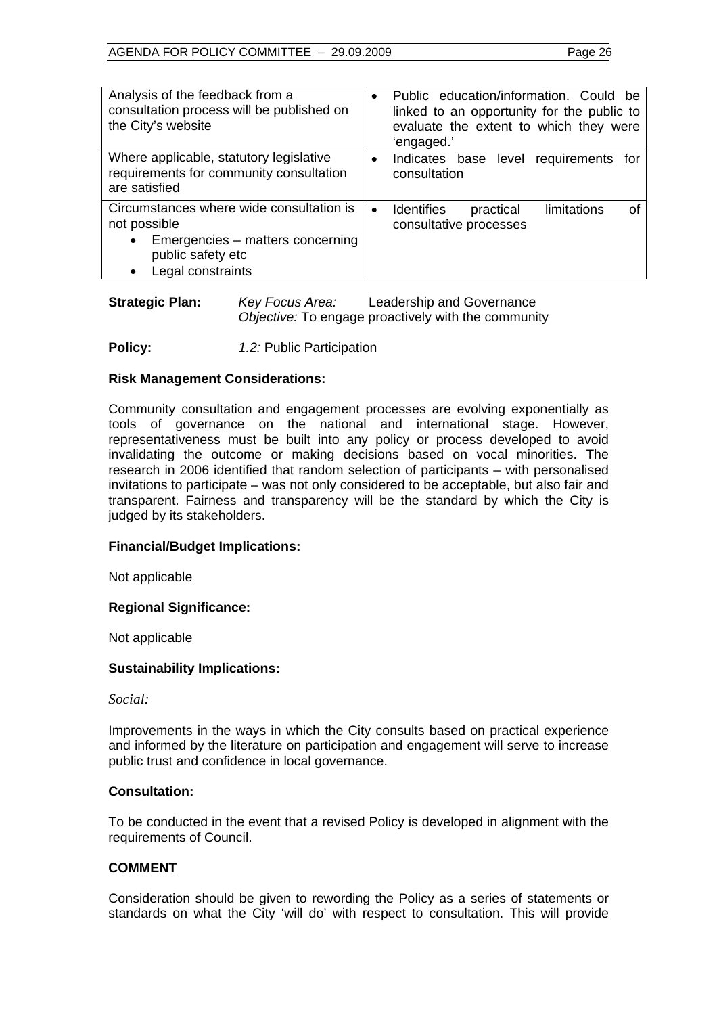| Analysis of the feedback from a<br>consultation process will be published on<br>the City's website                                                  | $\bullet$ | Public education/information. Could be<br>linked to an opportunity for the public to<br>evaluate the extent to which they were<br>'engaged.' |
|-----------------------------------------------------------------------------------------------------------------------------------------------------|-----------|----------------------------------------------------------------------------------------------------------------------------------------------|
| Where applicable, statutory legislative<br>requirements for community consultation<br>are satisfied                                                 | $\bullet$ | Indicates base level requirements<br>for<br>consultation                                                                                     |
| Circumstances where wide consultation is<br>not possible<br>Emergencies - matters concerning<br>$\bullet$<br>public safety etc<br>Legal constraints | $\bullet$ | limitations<br><b>Identifies</b><br>practical<br>Ωt<br>consultative processes                                                                |

# **Strategic Plan:** *Key Focus Area:* Leadership and Governance *Objective:* To engage proactively with the community

# **Policy:** *1.2:* Public Participation

# **Risk Management Considerations:**

Community consultation and engagement processes are evolving exponentially as tools of governance on the national and international stage. However, representativeness must be built into any policy or process developed to avoid invalidating the outcome or making decisions based on vocal minorities. The research in 2006 identified that random selection of participants – with personalised invitations to participate – was not only considered to be acceptable, but also fair and transparent. Fairness and transparency will be the standard by which the City is judged by its stakeholders.

#### **Financial/Budget Implications:**

Not applicable

#### **Regional Significance:**

Not applicable

#### **Sustainability Implications:**

*Social:*

Improvements in the ways in which the City consults based on practical experience and informed by the literature on participation and engagement will serve to increase public trust and confidence in local governance.

#### **Consultation:**

To be conducted in the event that a revised Policy is developed in alignment with the requirements of Council.

# **COMMENT**

Consideration should be given to rewording the Policy as a series of statements or standards on what the City 'will do' with respect to consultation. This will provide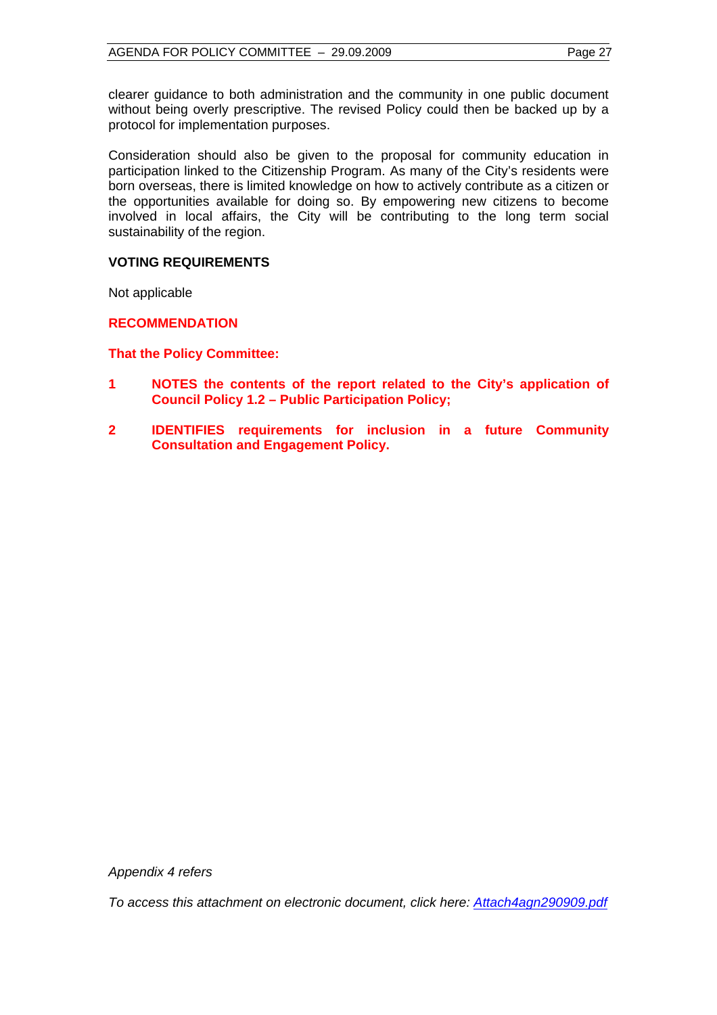clearer guidance to both administration and the community in one public document without being overly prescriptive. The revised Policy could then be backed up by a protocol for implementation purposes.

Consideration should also be given to the proposal for community education in participation linked to the Citizenship Program. As many of the City's residents were born overseas, there is limited knowledge on how to actively contribute as a citizen or the opportunities available for doing so. By empowering new citizens to become involved in local affairs, the City will be contributing to the long term social sustainability of the region.

# **VOTING REQUIREMENTS**

Not applicable

# **RECOMMENDATION**

**That the Policy Committee:** 

- **1 NOTES the contents of the report related to the City's application of Council Policy 1.2 – Public Participation Policy;**
- **2 IDENTIFIES requirements for inclusion in a future Community Consultation and Engagement Policy.**

*Appendix 4 refers* 

*To access this attachment on electronic document, click here[: Attach4agn290909.pdf](Attach4agn290909.pdf)*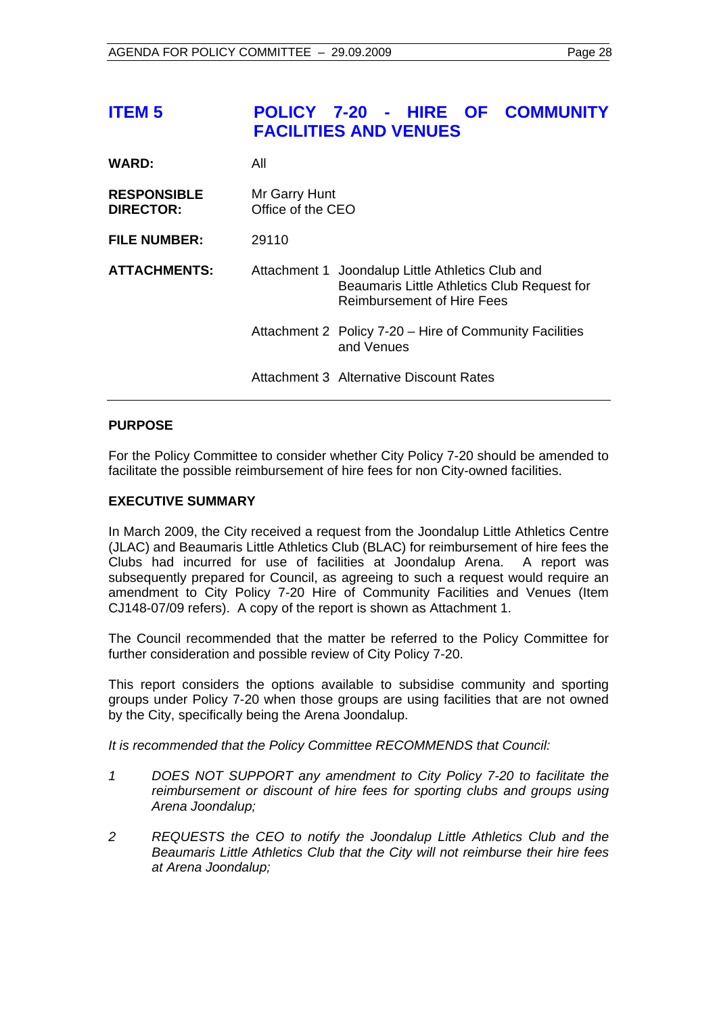# <span id="page-27-0"></span>**ITEM 5 POLICY 7-20 - HIRE OF COMMUNITY FACILITIES AND VENUES**

| <b>WARD:</b>                           | All                                |                                                                                                                               |
|----------------------------------------|------------------------------------|-------------------------------------------------------------------------------------------------------------------------------|
| <b>RESPONSIBLE</b><br><b>DIRECTOR:</b> | Mr Garry Hunt<br>Office of the CEO |                                                                                                                               |
| <b>FILE NUMBER:</b>                    | 29110                              |                                                                                                                               |
| <b>ATTACHMENTS:</b>                    |                                    | Attachment 1 Joondalup Little Athletics Club and<br>Beaumaris Little Athletics Club Request for<br>Reimbursement of Hire Fees |
|                                        |                                    | Attachment 2 Policy 7-20 – Hire of Community Facilities<br>and Venues                                                         |
|                                        |                                    | <b>Attachment 3 Alternative Discount Rates</b>                                                                                |

# **PURPOSE**

For the Policy Committee to consider whether City Policy 7-20 should be amended to facilitate the possible reimbursement of hire fees for non City-owned facilities.

# **EXECUTIVE SUMMARY**

In March 2009, the City received a request from the Joondalup Little Athletics Centre (JLAC) and Beaumaris Little Athletics Club (BLAC) for reimbursement of hire fees the Clubs had incurred for use of facilities at Joondalup Arena. A report was subsequently prepared for Council, as agreeing to such a request would require an amendment to City Policy 7-20 Hire of Community Facilities and Venues (Item CJ148-07/09 refers). A copy of the report is shown as Attachment 1.

The Council recommended that the matter be referred to the Policy Committee for further consideration and possible review of City Policy 7-20.

This report considers the options available to subsidise community and sporting groups under Policy 7-20 when those groups are using facilities that are not owned by the City, specifically being the Arena Joondalup.

*It is recommended that the Policy Committee RECOMMENDS that Council:* 

- *1 DOES NOT SUPPORT any amendment to City Policy 7-20 to facilitate the reimbursement or discount of hire fees for sporting clubs and groups using Arena Joondalup;*
- *2 REQUESTS the CEO to notify the Joondalup Little Athletics Club and the Beaumaris Little Athletics Club that the City will not reimburse their hire fees at Arena Joondalup;*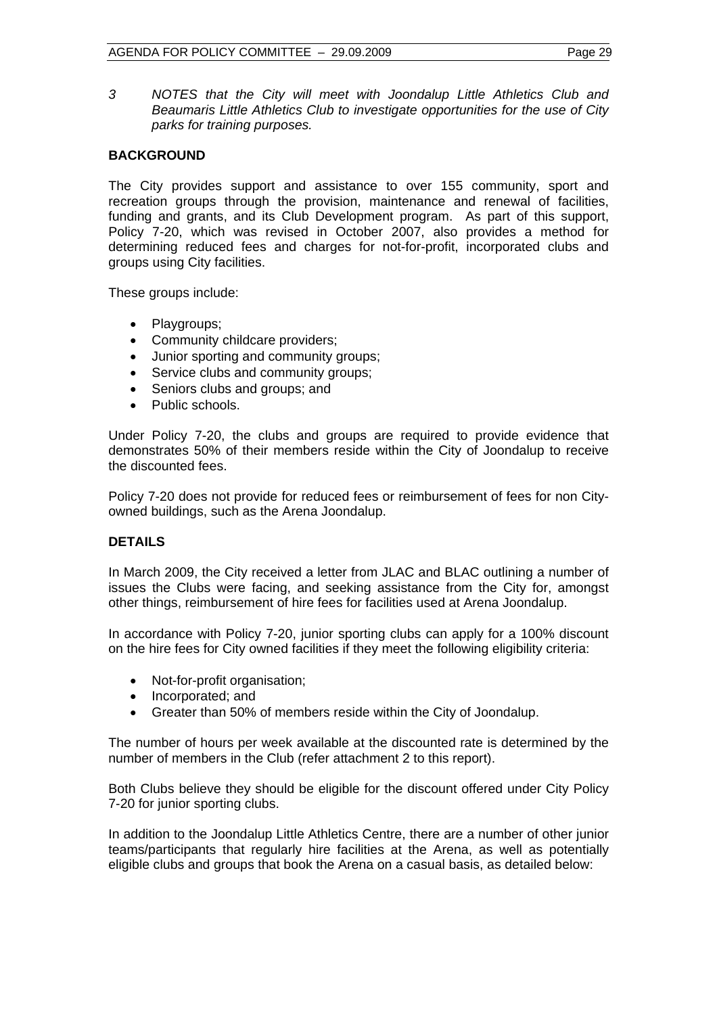*3 NOTES that the City will meet with Joondalup Little Athletics Club and Beaumaris Little Athletics Club to investigate opportunities for the use of City parks for training purposes.*

# **BACKGROUND**

The City provides support and assistance to over 155 community, sport and recreation groups through the provision, maintenance and renewal of facilities, funding and grants, and its Club Development program. As part of this support, Policy 7-20, which was revised in October 2007, also provides a method for determining reduced fees and charges for not-for-profit, incorporated clubs and groups using City facilities.

These groups include:

- Playgroups;
- Community childcare providers;
- Junior sporting and community groups:
- Service clubs and community groups;
- Seniors clubs and groups; and
- Public schools.

Under Policy 7-20, the clubs and groups are required to provide evidence that demonstrates 50% of their members reside within the City of Joondalup to receive the discounted fees.

Policy 7-20 does not provide for reduced fees or reimbursement of fees for non Cityowned buildings, such as the Arena Joondalup.

# **DETAILS**

In March 2009, the City received a letter from JLAC and BLAC outlining a number of issues the Clubs were facing, and seeking assistance from the City for, amongst other things, reimbursement of hire fees for facilities used at Arena Joondalup.

In accordance with Policy 7-20, junior sporting clubs can apply for a 100% discount on the hire fees for City owned facilities if they meet the following eligibility criteria:

- Not-for-profit organisation;
- Incorporated; and
- Greater than 50% of members reside within the City of Joondalup.

The number of hours per week available at the discounted rate is determined by the number of members in the Club (refer attachment 2 to this report).

Both Clubs believe they should be eligible for the discount offered under City Policy 7-20 for junior sporting clubs.

In addition to the Joondalup Little Athletics Centre, there are a number of other junior teams/participants that regularly hire facilities at the Arena, as well as potentially eligible clubs and groups that book the Arena on a casual basis, as detailed below: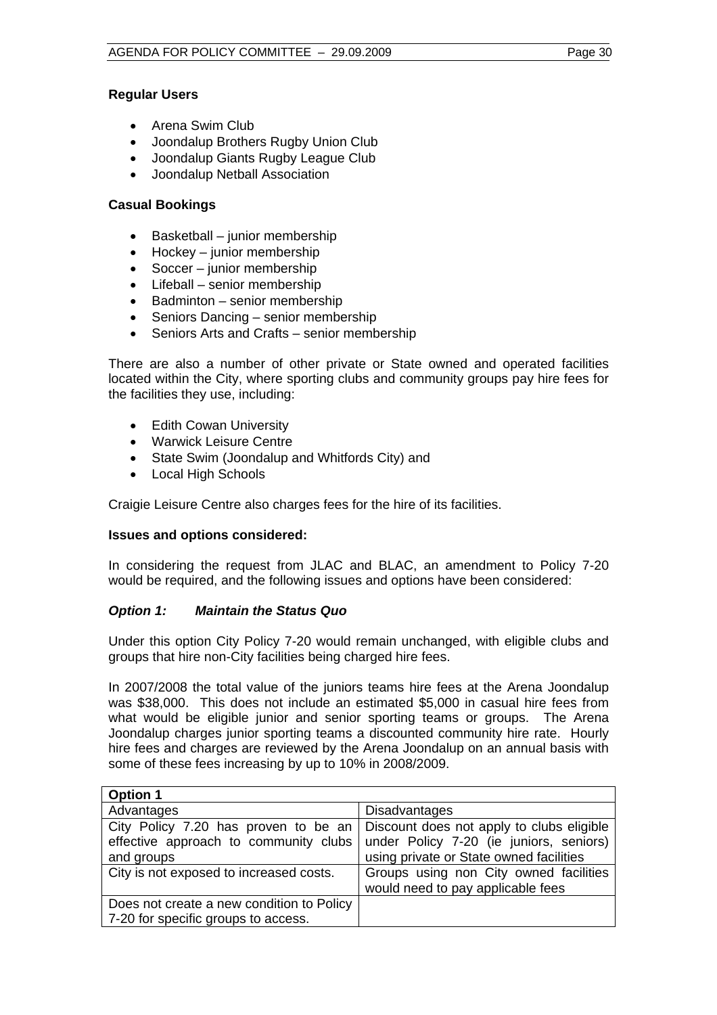# **Regular Users**

- Arena Swim Club
- Joondalup Brothers Rugby Union Club
- Joondalup Giants Rugby League Club
- Joondalup Netball Association

# **Casual Bookings**

- $\bullet$  Basketball junior membership
- Hockey junior membership
- Soccer junior membership
- Lifeball senior membership
- Badminton senior membership
- Seniors Dancing senior membership
- Seniors Arts and Crafts senior membership

There are also a number of other private or State owned and operated facilities located within the City, where sporting clubs and community groups pay hire fees for the facilities they use, including:

- Edith Cowan University
- Warwick Leisure Centre
- State Swim (Joondalup and Whitfords City) and
- Local High Schools

Craigie Leisure Centre also charges fees for the hire of its facilities.

# **Issues and options considered:**

In considering the request from JLAC and BLAC, an amendment to Policy 7-20 would be required, and the following issues and options have been considered:

# *Option 1: Maintain the Status Quo*

Under this option City Policy 7-20 would remain unchanged, with eligible clubs and groups that hire non-City facilities being charged hire fees.

In 2007/2008 the total value of the juniors teams hire fees at the Arena Joondalup was \$38,000. This does not include an estimated \$5,000 in casual hire fees from what would be eligible junior and senior sporting teams or groups. The Arena Joondalup charges junior sporting teams a discounted community hire rate. Hourly hire fees and charges are reviewed by the Arena Joondalup on an annual basis with some of these fees increasing by up to 10% in 2008/2009.

| <b>Option 1</b>                           |                                           |
|-------------------------------------------|-------------------------------------------|
| Advantages                                | <b>Disadvantages</b>                      |
| City Policy 7.20 has proven to be an      | Discount does not apply to clubs eligible |
| effective approach to community clubs     | under Policy 7-20 (ie juniors, seniors)   |
| and groups                                | using private or State owned facilities   |
| City is not exposed to increased costs.   | Groups using non City owned facilities    |
|                                           | would need to pay applicable fees         |
| Does not create a new condition to Policy |                                           |
| 7-20 for specific groups to access.       |                                           |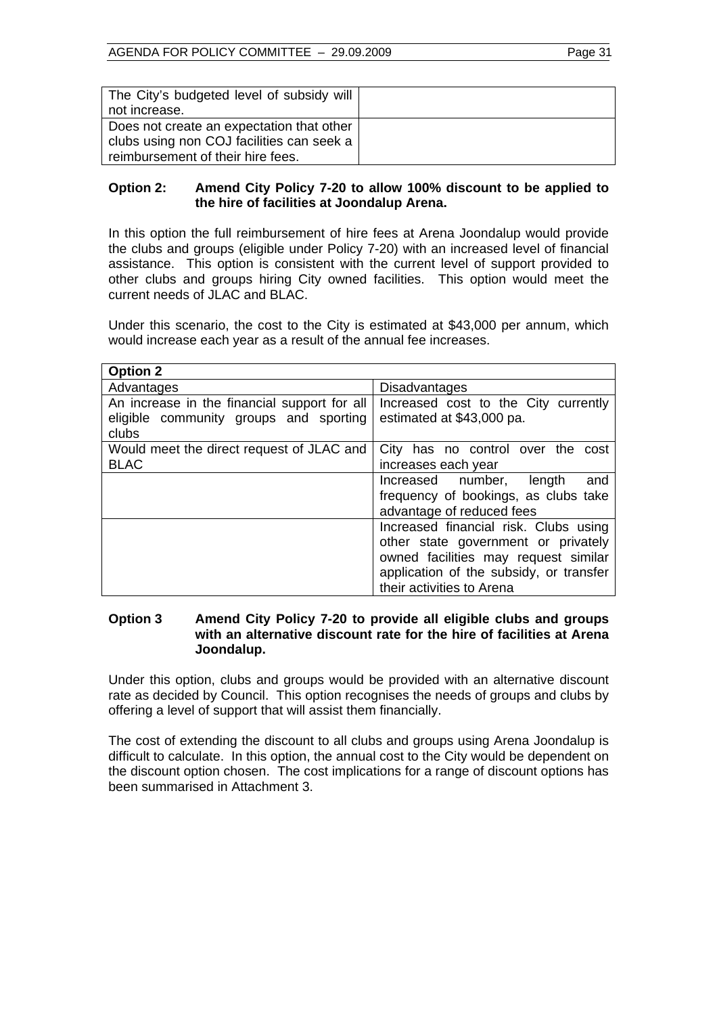| The City's budgeted level of subsidy will |  |
|-------------------------------------------|--|
| not increase.                             |  |
| Does not create an expectation that other |  |
| clubs using non COJ facilities can seek a |  |
| reimbursement of their hire fees.         |  |

# **Option 2: Amend City Policy 7-20 to allow 100% discount to be applied to the hire of facilities at Joondalup Arena.**

In this option the full reimbursement of hire fees at Arena Joondalup would provide the clubs and groups (eligible under Policy 7-20) with an increased level of financial assistance. This option is consistent with the current level of support provided to other clubs and groups hiring City owned facilities. This option would meet the current needs of JLAC and BLAC.

Under this scenario, the cost to the City is estimated at \$43,000 per annum, which would increase each year as a result of the annual fee increases.

| <b>Option 2</b>                                                                                 |                                                                                                                                                                                              |  |  |  |
|-------------------------------------------------------------------------------------------------|----------------------------------------------------------------------------------------------------------------------------------------------------------------------------------------------|--|--|--|
| Advantages                                                                                      | <b>Disadvantages</b>                                                                                                                                                                         |  |  |  |
| An increase in the financial support for all<br>eligible community groups and sporting<br>clubs | Increased cost to the City currently<br>estimated at \$43,000 pa.                                                                                                                            |  |  |  |
| Would meet the direct request of JLAC and<br><b>BLAC</b>                                        | City has no control over the<br>cost<br>increases each year<br>Increased number,<br>length<br>and<br>frequency of bookings, as clubs take<br>advantage of reduced fees                       |  |  |  |
|                                                                                                 |                                                                                                                                                                                              |  |  |  |
|                                                                                                 | Increased financial risk. Clubs using<br>other state government or privately<br>owned facilities may request similar<br>application of the subsidy, or transfer<br>their activities to Arena |  |  |  |

# **Option 3 Amend City Policy 7-20 to provide all eligible clubs and groups with an alternative discount rate for the hire of facilities at Arena Joondalup.**

Under this option, clubs and groups would be provided with an alternative discount rate as decided by Council. This option recognises the needs of groups and clubs by offering a level of support that will assist them financially.

The cost of extending the discount to all clubs and groups using Arena Joondalup is difficult to calculate. In this option, the annual cost to the City would be dependent on the discount option chosen. The cost implications for a range of discount options has been summarised in Attachment 3.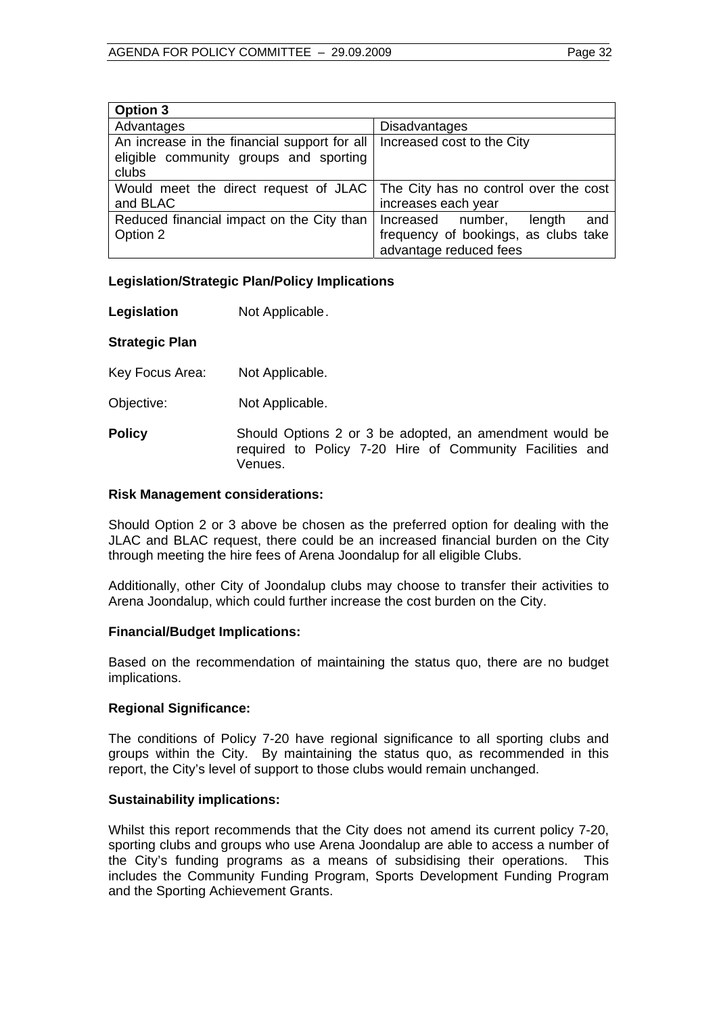| <b>Option 3</b>                                                             |                                      |  |  |  |
|-----------------------------------------------------------------------------|--------------------------------------|--|--|--|
| Advantages                                                                  | <b>Disadvantages</b>                 |  |  |  |
| An increase in the financial support for all                                | Increased cost to the City           |  |  |  |
| eligible community groups and sporting                                      |                                      |  |  |  |
| clubs                                                                       |                                      |  |  |  |
| Would meet the direct request of JLAC The City has no control over the cost |                                      |  |  |  |
| and BLAC                                                                    | increases each year                  |  |  |  |
| Reduced financial impact on the City than                                   | and<br>Increased number,<br>length   |  |  |  |
| Option 2                                                                    | frequency of bookings, as clubs take |  |  |  |
|                                                                             | advantage reduced fees               |  |  |  |

# **Legislation/Strategic Plan/Policy Implications**

**Legislation Not Applicable.** 

# **Strategic Plan**

- Key Focus Area: Not Applicable.
- Objective: Not Applicable.
- **Policy** Should Options 2 or 3 be adopted, an amendment would be required to Policy 7-20 Hire of Community Facilities and Venues.

#### **Risk Management considerations:**

Should Option 2 or 3 above be chosen as the preferred option for dealing with the JLAC and BLAC request, there could be an increased financial burden on the City through meeting the hire fees of Arena Joondalup for all eligible Clubs.

Additionally, other City of Joondalup clubs may choose to transfer their activities to Arena Joondalup, which could further increase the cost burden on the City.

#### **Financial/Budget Implications:**

Based on the recommendation of maintaining the status quo, there are no budget implications.

#### **Regional Significance:**

The conditions of Policy 7-20 have regional significance to all sporting clubs and groups within the City. By maintaining the status quo, as recommended in this report, the City's level of support to those clubs would remain unchanged.

#### **Sustainability implications:**

Whilst this report recommends that the City does not amend its current policy 7-20, sporting clubs and groups who use Arena Joondalup are able to access a number of the City's funding programs as a means of subsidising their operations. This includes the Community Funding Program, Sports Development Funding Program and the Sporting Achievement Grants.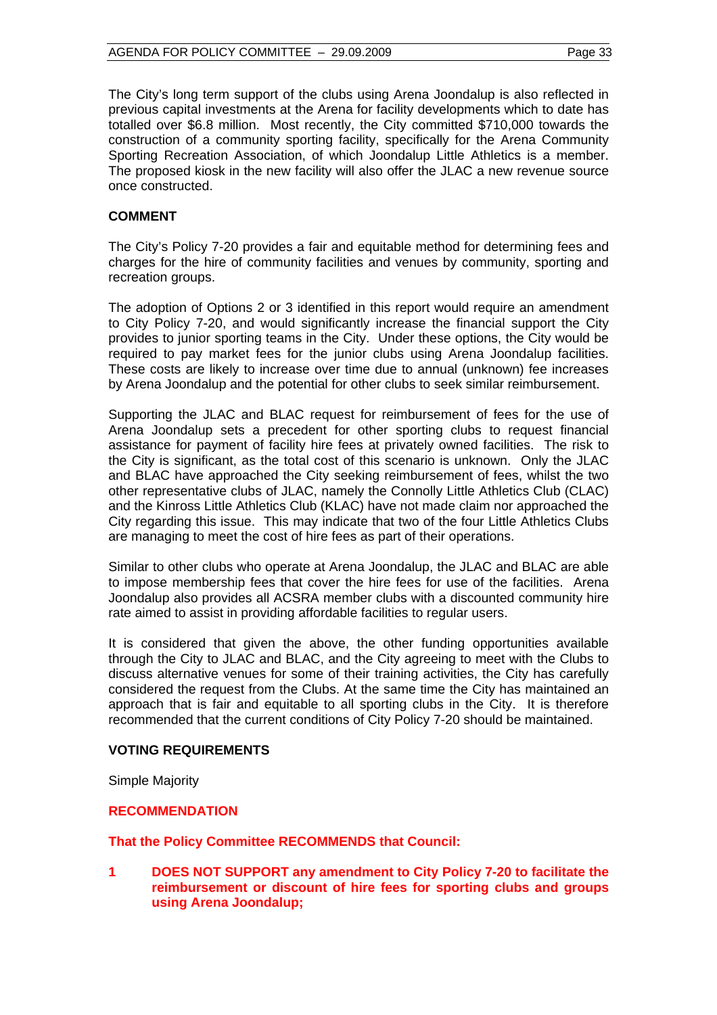The City's long term support of the clubs using Arena Joondalup is also reflected in previous capital investments at the Arena for facility developments which to date has totalled over \$6.8 million. Most recently, the City committed \$710,000 towards the construction of a community sporting facility, specifically for the Arena Community Sporting Recreation Association, of which Joondalup Little Athletics is a member. The proposed kiosk in the new facility will also offer the JLAC a new revenue source once constructed.

# **COMMENT**

The City's Policy 7-20 provides a fair and equitable method for determining fees and charges for the hire of community facilities and venues by community, sporting and recreation groups.

The adoption of Options 2 or 3 identified in this report would require an amendment to City Policy 7-20, and would significantly increase the financial support the City provides to junior sporting teams in the City. Under these options, the City would be required to pay market fees for the junior clubs using Arena Joondalup facilities. These costs are likely to increase over time due to annual (unknown) fee increases by Arena Joondalup and the potential for other clubs to seek similar reimbursement.

Supporting the JLAC and BLAC request for reimbursement of fees for the use of Arena Joondalup sets a precedent for other sporting clubs to request financial assistance for payment of facility hire fees at privately owned facilities. The risk to the City is significant, as the total cost of this scenario is unknown. Only the JLAC and BLAC have approached the City seeking reimbursement of fees, whilst the two other representative clubs of JLAC, namely the Connolly Little Athletics Club (CLAC) and the Kinross Little Athletics Club (KLAC) have not made claim nor approached the City regarding this issue. This may indicate that two of the four Little Athletics Clubs are managing to meet the cost of hire fees as part of their operations.

Similar to other clubs who operate at Arena Joondalup, the JLAC and BLAC are able to impose membership fees that cover the hire fees for use of the facilities. Arena Joondalup also provides all ACSRA member clubs with a discounted community hire rate aimed to assist in providing affordable facilities to regular users.

It is considered that given the above, the other funding opportunities available through the City to JLAC and BLAC, and the City agreeing to meet with the Clubs to discuss alternative venues for some of their training activities, the City has carefully considered the request from the Clubs. At the same time the City has maintained an approach that is fair and equitable to all sporting clubs in the City. It is therefore recommended that the current conditions of City Policy 7-20 should be maintained.

#### **VOTING REQUIREMENTS**

Simple Majority

# **RECOMMENDATION**

# **That the Policy Committee RECOMMENDS that Council:**

**1 DOES NOT SUPPORT any amendment to City Policy 7-20 to facilitate the reimbursement or discount of hire fees for sporting clubs and groups using Arena Joondalup;**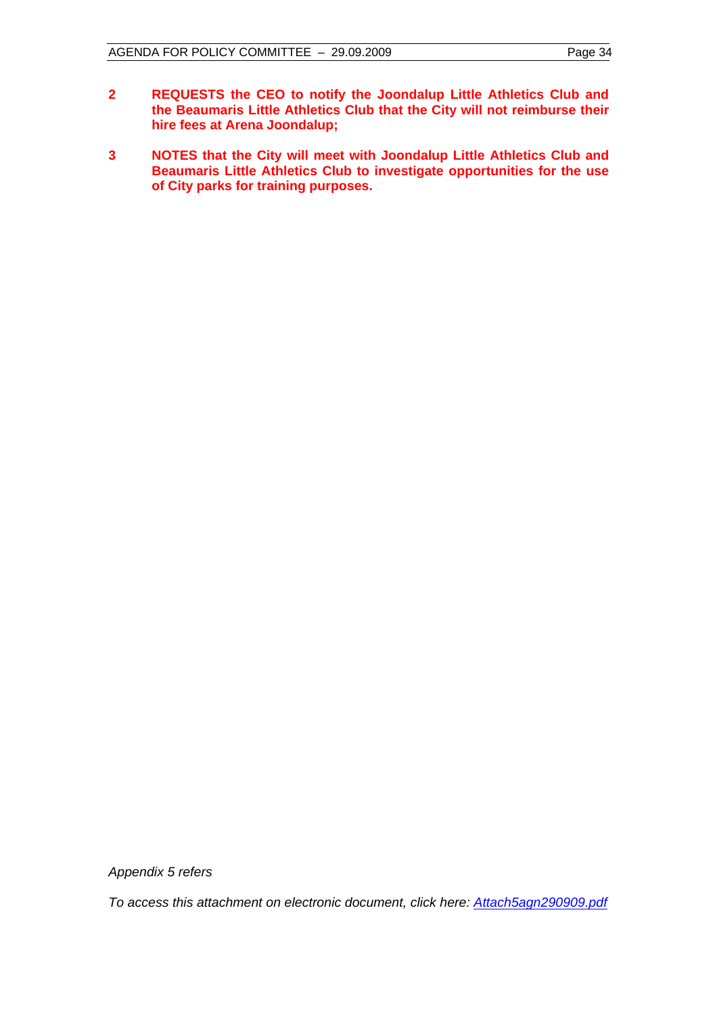- **2 REQUESTS the CEO to notify the Joondalup Little Athletics Club and the Beaumaris Little Athletics Club that the City will not reimburse their hire fees at Arena Joondalup;**
- **3 NOTES that the City will meet with Joondalup Little Athletics Club and Beaumaris Little Athletics Club to investigate opportunities for the use of City parks for training purposes.**

*Appendix 5 refers* 

*To access this attachment on electronic document, click here:<Attach5agn290909.pdf>*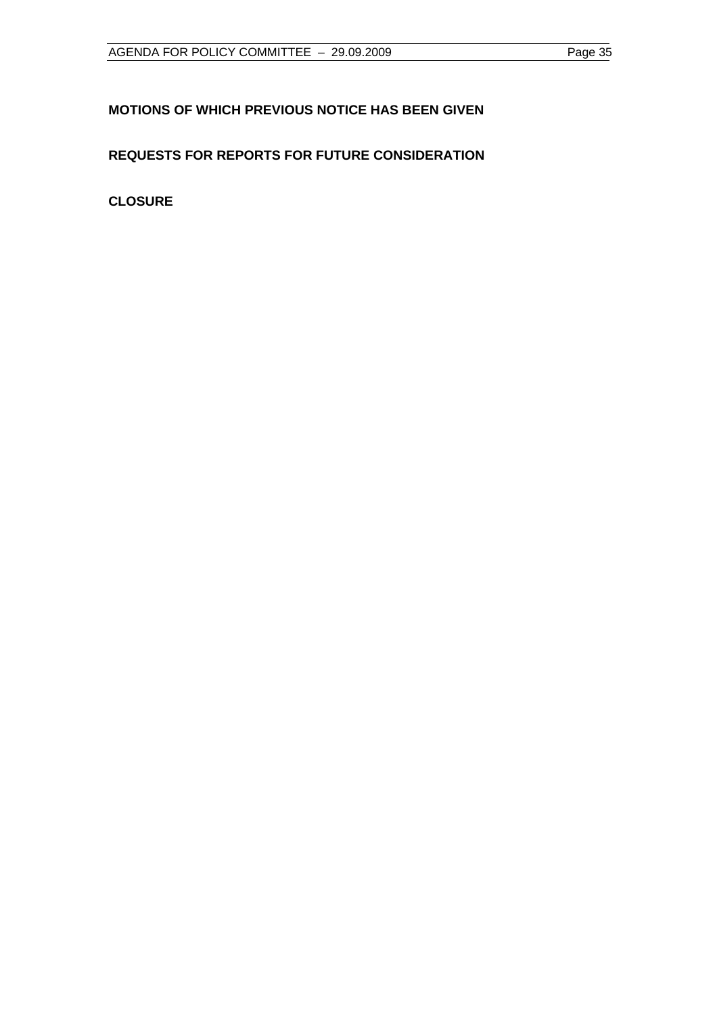# <span id="page-34-0"></span>**MOTIONS OF WHICH PREVIOUS NOTICE HAS BEEN GIVEN**

# **REQUESTS FOR REPORTS FOR FUTURE CONSIDERATION**

**CLOSURE**